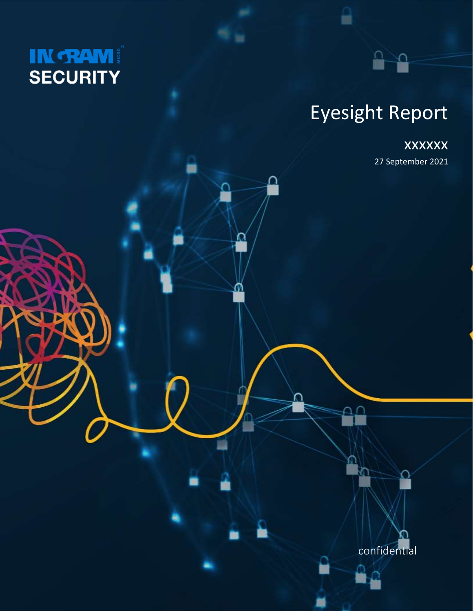

# Eyesight Report

읍

꽃

### xxxxxx

27 September 2021

confidential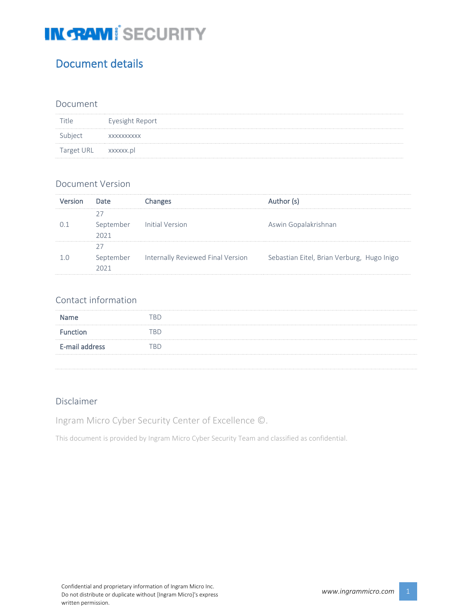### Document details

#### Document

|                                                            | Eyesight Report |
|------------------------------------------------------------|-----------------|
| subject                                                    | XXXXXXXXXX      |
| Target URL xxxxxx.pl<br>---------------------------------- |                 |

#### Document Version

| Version | Date              | <b>Changes</b>                    | Author (s)                                 |
|---------|-------------------|-----------------------------------|--------------------------------------------|
| O 1     | September<br>2021 | <b>Initial Version</b>            | Aswin Gopalakrishnan                       |
| 1 O     | September<br>2021 | Internally Reviewed Final Version | Sebastian Eitel, Brian Verburg, Hugo Inigo |

#### Contact information

| <b>Name</b>    | "RD |
|----------------|-----|
| Function       | "RD |
| E-mail address | "RD |
|                |     |

#### Disclaimer

Ingram Micro Cyber Security Center of Excellence ©.

This document is provided by Ingram Micro Cyber Security Team and classified as confidential.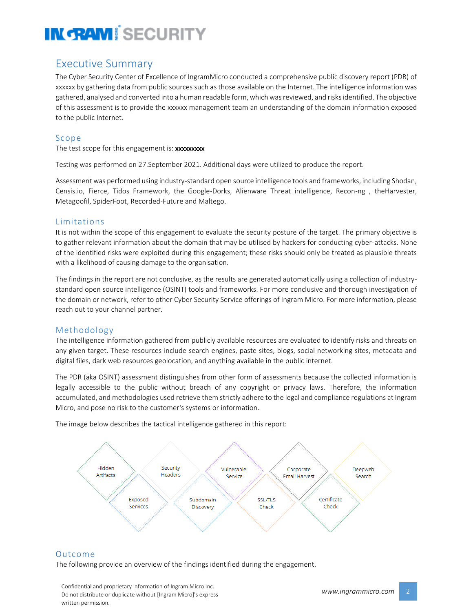### Executive Summary

The Cyber Security Center of Excellence of IngramMicro conducted a comprehensive public discovery report (PDR) of xxxxxx by gathering data from public sources such as those available on the Internet. The intelligence information was gathered, analysed and converted into a human readable form, which was reviewed, and risks identified. The objective of this assessment is to provide the xxxxxx management team an understanding of the domain information exposed to the public Internet.

#### Scope

The test scope for this engagement is: xxxxxxxxx

Testing was performed on 27.September 2021. Additional days were utilized to produce the report.

Assessment was performed using industry-standard open source intelligence tools and frameworks, including Shodan, Censis.io, Fierce, Tidos Framework, the Google-Dorks, Alienware Threat intelligence, Recon-ng , theHarvester, Metagoofil, SpiderFoot, Recorded-Future and Maltego.

#### Limitations

It is not within the scope of this engagement to evaluate the security posture of the target. The primary objective is to gather relevant information about the domain that may be utilised by hackers for conducting cyber-attacks. None of the identified risks were exploited during this engagement; these risks should only be treated as plausible threats with a likelihood of causing damage to the organisation.

The findings in the report are not conclusive, as the results are generated automatically using a collection of industrystandard open source intelligence (OSINT) tools and frameworks. For more conclusive and thorough investigation of the domain or network, refer to other Cyber Security Service offerings of Ingram Micro. For more information, please reach out to your channel partner.

#### Methodology

The intelligence information gathered from publicly available resources are evaluated to identify risks and threats on any given target. These resources include search engines, paste sites, blogs, social networking sites, metadata and digital files, dark web resources geolocation, and anything available in the public internet.

The PDR (aka OSINT) assessment distinguishes from other form of assessments because the collected information is legally accessible to the public without breach of any copyright or privacy laws. Therefore, the information accumulated, and methodologies used retrieve them strictly adhere to the legal and compliance regulations at Ingram Micro, and pose no risk to the customer's systems or information.

The image below describes the tactical intelligence gathered in this report:



#### Outcome

The following provide an overview of the findings identified during the engagement.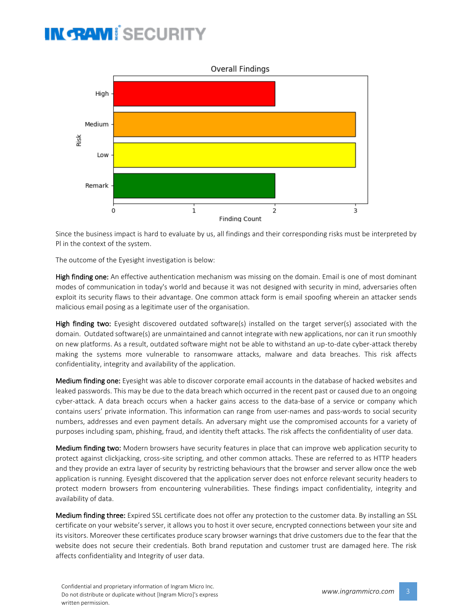

Since the business impact is hard to evaluate by us, all findings and their corresponding risks must be interpreted by Pl in the context of the system.

The outcome of the Eyesight investigation is below:

High finding one: An effective authentication mechanism was missing on the domain. Email is one of most dominant modes of communication in today's world and because it was not designed with security in mind, adversaries often exploit its security flaws to their advantage. One common attack form is email spoofing wherein an attacker sends malicious email posing as a legitimate user of the organisation.

High finding two: Eyesight discovered outdated software(s) installed on the target server(s) associated with the domain. Outdated software(s) are unmaintained and cannot integrate with new applications, nor can it run smoothly on new platforms. As a result, outdated software might not be able to withstand an up-to-date cyber-attack thereby making the systems more vulnerable to ransomware attacks, malware and data breaches. This risk affects confidentiality, integrity and availability of the application.

Medium finding one: Eyesight was able to discover corporate email accounts in the database of hacked websites and leaked passwords. This may be due to the data breach which occurred in the recent past or caused due to an ongoing cyber-attack. A data breach occurs when a hacker gains access to the data-base of a service or company which contains users' private information. This information can range from user-names and pass-words to social security numbers, addresses and even payment details. An adversary might use the compromised accounts for a variety of purposes including spam, phishing, fraud, and identity theft attacks. The risk affects the confidentiality of user data.

Medium finding two: Modern browsers have security features in place that can improve web application security to protect against clickjacking, cross-site scripting, and other common attacks. These are referred to as HTTP headers and they provide an extra layer of security by restricting behaviours that the browser and server allow once the web application is running. Eyesight discovered that the application server does not enforce relevant security headers to protect modern browsers from encountering vulnerabilities. These findings impact confidentiality, integrity and availability of data.

Medium finding three: Expired SSL certificate does not offer any protection to the customer data. By installing an SSL certificate on your website's server, it allows you to host it over secure, encrypted connections between your site and its visitors. Moreover these certificates produce scary browser warnings that drive customers due to the fear that the website does not secure their credentials. Both brand reputation and customer trust are damaged here. The risk affects confidentiality and Integrity of user data.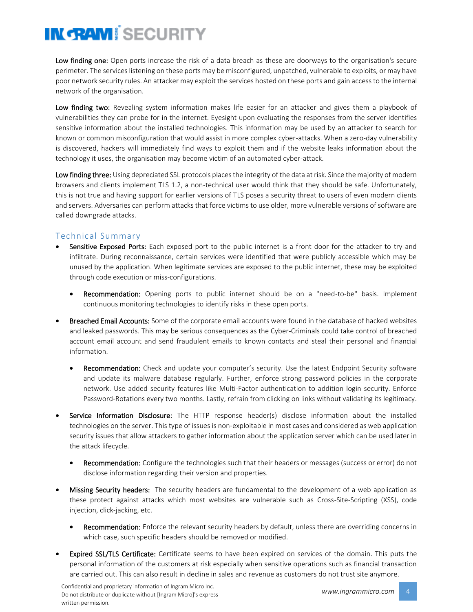Low finding one: Open ports increase the risk of a data breach as these are doorways to the organisation's secure perimeter. The services listening on these ports may be misconfigured, unpatched, vulnerable to exploits, or may have poor network security rules. An attacker may exploit the services hosted on these ports and gain access to the internal network of the organisation.

Low finding two: Revealing system information makes life easier for an attacker and gives them a playbook of vulnerabilities they can probe for in the internet. Eyesight upon evaluating the responses from the server identifies sensitive information about the installed technologies. This information may be used by an attacker to search for known or common misconfiguration that would assist in more complex cyber-attacks. When a zero-day vulnerability is discovered, hackers will immediately find ways to exploit them and if the website leaks information about the technology it uses, the organisation may become victim of an automated cyber-attack.

Low finding three: Using depreciated SSL protocols places the integrity of the data at risk. Since the majority of modern browsers and clients implement TLS 1.2, a non-technical user would think that they should be safe. Unfortunately, this is not true and having support for earlier versions of TLS poses a security threat to users of even modern clients and servers. Adversaries can perform attacks that force victims to use older, more vulnerable versions of software are called downgrade attacks.

#### Technical Summary

- Sensitive Exposed Ports: Each exposed port to the public internet is a front door for the attacker to try and infiltrate. During reconnaissance, certain services were identified that were publicly accessible which may be unused by the application. When legitimate services are exposed to the public internet, these may be exploited through code execution or miss-configurations.
	- Recommendation: Opening ports to public internet should be on a "need-to-be" basis. Implement continuous monitoring technologies to identify risks in these open ports.
- Breached Email Accounts: Some of the corporate email accounts were found in the database of hacked websites and leaked passwords. This may be serious consequences as the Cyber-Criminals could take control of breached account email account and send fraudulent emails to known contacts and steal their personal and financial information.
	- Recommendation: Check and update your computer's security. Use the latest Endpoint Security software and update its malware database regularly. Further, enforce strong password policies in the corporate network. Use added security features like Multi-Factor authentication to addition login security. Enforce Password-Rotations every two months. Lastly, refrain from clicking on links without validating its legitimacy.
- Service Information Disclosure: The HTTP response header(s) disclose information about the installed technologies on the server. This type of issues is non-exploitable in most cases and considered as web application security issues that allow attackers to gather information about the application server which can be used later in the attack lifecycle.
	- Recommendation: Configure the technologies such that their headers or messages (success or error) do not disclose information regarding their version and properties.
- **Missing Security headers:** The security headers are fundamental to the development of a web application as these protect against attacks which most websites are vulnerable such as Cross-Site-Scripting (XSS), code injection, click-jacking, etc.
	- Recommendation: Enforce the relevant security headers by default, unless there are overriding concerns in which case, such specific headers should be removed or modified.
- **Expired SSL/TLS Certificate:** Certificate seems to have been expired on services of the domain. This puts the personal information of the customers at risk especially when sensitive operations such as financial transaction are carried out. This can also result in decline in sales and revenue as customers do not trust site anymore.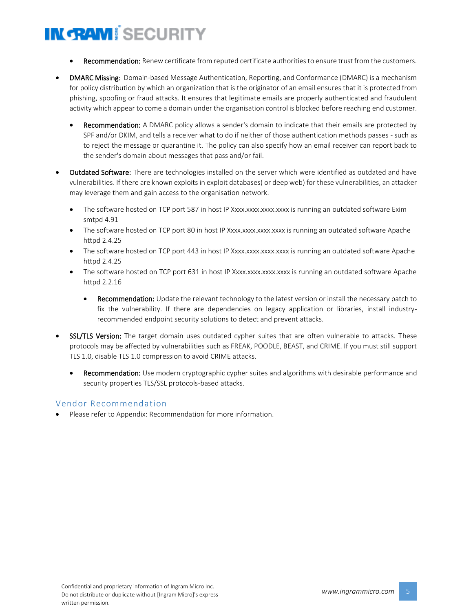- Recommendation: Renew certificate from reputed certificate authorities to ensure trust from the customers.
- DMARC Missing: Domain-based Message Authentication, Reporting, and Conformance (DMARC) is a mechanism for policy distribution by which an organization that is the originator of an email ensures that it is protected from phishing, spoofing or fraud attacks. It ensures that legitimate emails are properly authenticated and fraudulent activity which appear to come a domain under the organisation control is blocked before reaching end customer.
	- Recommendation: A DMARC policy allows a sender's domain to indicate that their emails are protected by SPF and/or DKIM, and tells a receiver what to do if neither of those authentication methods passes - such as to reject the message or quarantine it. The policy can also specify how an email receiver can report back to the sender's domain about messages that pass and/or fail.
- **Outdated Software:** There are technologies installed on the server which were identified as outdated and have vulnerabilities. If there are known exploits in exploit databases( or deep web) for these vulnerabilities, an attacker may leverage them and gain access to the organisation network.
	- The software hosted on TCP port 587 in host IP Xxxx.xxxx.xxxx.xxxx is running an outdated software Exim smtpd 4.91
	- The software hosted on TCP port 80 in host IP Xxxx.xxxx.xxxx.xxxx is running an outdated software Apache httpd 2.4.25
	- The software hosted on TCP port 443 in host IP Xxxx.xxxx.xxxx.xxxx is running an outdated software Apache httpd 2.4.25
	- The software hosted on TCP port 631 in host IP Xxxx.xxxx.xxxx.xxxx is running an outdated software Apache httpd 2.2.16
		- Recommendation: Update the relevant technology to the latest version or install the necessary patch to fix the vulnerability. If there are dependencies on legacy application or libraries, install industryrecommended endpoint security solutions to detect and prevent attacks.
- **SSL/TLS Version:** The target domain uses outdated cypher suites that are often vulnerable to attacks. These protocols may be affected by vulnerabilities such as FREAK, POODLE, BEAST, and CRIME. If you must still support TLS 1.0, disable TLS 1.0 compression to avoid CRIME attacks.
	- Recommendation: Use modern cryptographic cypher suites and algorithms with desirable performance and security properties TLS/SSL protocols-based attacks.

#### Vendor Recommendation

• Please refer to Appendix: Recommendation for more information.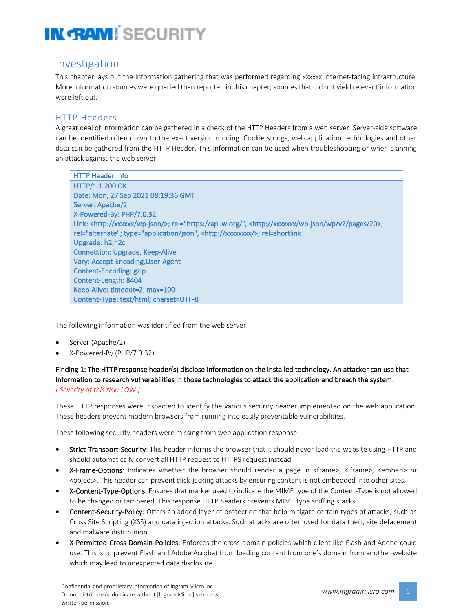#### Investigation

This chapter lays out the information gathering that was performed regarding xxxxxx internet-facing infrastructure. More information sources were queried than reported in this chapter; sources that did not yield relevant information were left out.

#### HTTP Headers

A great deal of information can be gathered in a check of the HTTP Headers from a web server. Server-side software can be identified often down to the exact version running. Cookie strings, web application technologies and other data can be gathered from the HTTP Header. This information can be used when troubleshooting or when planning an attack against the web server.

| <b>HTTP Header Info</b>                                                                                                                |
|----------------------------------------------------------------------------------------------------------------------------------------|
| <b>HTTP/1.1 200 OK</b>                                                                                                                 |
| Date: Mon, 27 Sep 2021 08:19:36 GMT                                                                                                    |
| Server: Apache/2                                                                                                                       |
| X-Powered-By: PHP/7.0.32                                                                                                               |
| Link: <http: wp-json="" xxxxx=""></http:> ; rel="https://api.w.org/", <http: 20="" pages="" v2="" wp="" wp-json="" xxxxxx="">;</http:> |
| rel="alternate"; type="application/json", <http: xxxxxxx=""></http:> ; rel=shortlink                                                   |
| Upgrade: h2, h2c                                                                                                                       |
| <b>Connection: Upgrade, Keep-Alive</b>                                                                                                 |
| Vary: Accept-Encoding, User-Agent                                                                                                      |
| Content-Encoding: gzip                                                                                                                 |
| Content-Length: 8404                                                                                                                   |
| Keep-Alive: timeout=2, max=100                                                                                                         |
| Content-Type: text/html; charset=UTF-8                                                                                                 |

The following information was identified from the web server

- Server (Apache/2)
- X-Powered-By (PHP/7.0.32)

#### Finding 1: The HTTP response header(s) disclose information on the installed technology. An attacker can use that information to research vulnerabilities in those technologies to attack the application and breach the system. *[ Severity of this risk: LOW ]*

These HTTP responses were inspected to identify the various security header implemented on the web application. These headers prevent modern browsers from running into easily preventable vulnerabilities.

These following security headers were missing from web application response:

- Strict-Transport-Security: This header informs the browser that it should never load the website using HTTP and should automatically convert all HTTP request to HTTPS request instead.
- X-Frame-Options: Indicates whether the browser should render a page in <frame>, <iframe>, <embed> or <object>. This header can prevent click-jacking attacks by ensuring content is not embedded into other sites.
- X-Content-Type-Options: Ensures that marker used to indicate the MIME type of the Content-Type is not allowed to be changed or tampered. This response HTTP headers prevents MIME type sniffing stacks.
- **Content-Security-Policy:** Offers an added layer of protection that help mitigate certain types of attacks, such as Cross Site Scripting (XSS) and data injection attacks. Such attacks are often used for data theft, site defacement and malware distribution.
- X-Permitted-Cross-Domain-Policies: Enforces the cross-domain policies which client like Flash and Adobe could use. This is to prevent Flash and Adobe Acrobat from loading content from one's domain from another website which may lead to unexpected data disclosure.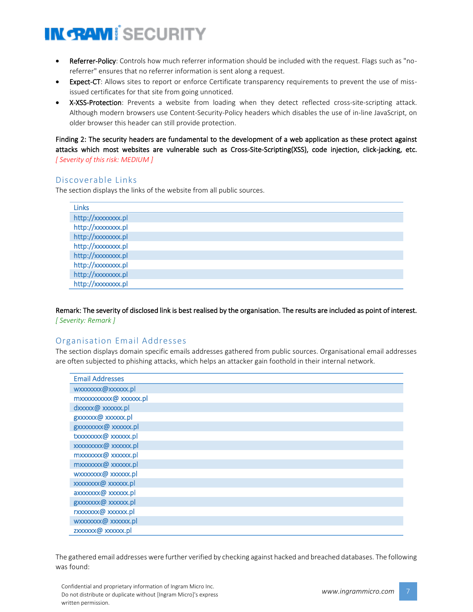- Referrer-Policy: Controls how much referrer information should be included with the request. Flags such as "noreferrer" ensures that no referrer information is sent along a request.
- Expect-CT: Allows sites to report or enforce Certificate transparency requirements to prevent the use of mississued certificates for that site from going unnoticed.
- X-XSS-Protection: Prevents a website from loading when they detect reflected cross-site-scripting attack. Although modern browsers use Content-Security-Policy headers which disables the use of in-line JavaScript, on older browser this header can still provide protection.

Finding 2: The security headers are fundamental to the development of a web application as these protect against attacks which most websites are vulnerable such as Cross-Site-Scripting(XSS), code injection, click-jacking, etc. *[ Severity of this risk: MEDIUM ]*

#### Discoverable Links

The section displays the links of the website from all public sources.

| <b>Links</b>      |
|-------------------|
| http://xxxxxxx.pl |
| http://xxxxxxx.pl |
| http://xxxxxxx.pl |
| http://xxxxxxx.pl |
| http://xxxxxxx.pl |
| http://xxxxxxx.pl |
| http://xxxxxxx.pl |
| http://xxxxxxx.pl |
|                   |

Remark: The severity of disclosed link is best realised by the organisation. The results are included as point of interest. *[ Severity: Remark ]*

#### Organisation Email Addresses

The section displays domain specific emails addresses gathered from public sources. Organisational email addresses are often subjected to phishing attacks, which helps an attacker gain foothold in their internal network.

| <b>Email Addresses</b> |
|------------------------|
| wxxxxxx@xxxxxx.pl      |
| mxxxxxxxxx@xxxxxx.pl   |
| dxxxxx@ xxxxxx.pl      |
| gxxxxxx@ xxxxxx.pl     |
| gxxxxxxx@ xxxxxx.pl    |
| txxxxxxx@xxxxxx.pl     |
| xxxxxxxx@ xxxxxx.pl    |
| mxxxxxxx@ xxxxxx.pl    |
| mxxxxxx@ xxxxx.pl      |
| wxxxxxx@xxxxxx.pl      |
| xxxxxxx@ xxxxxx.pl     |
| axxxxxx@ xxxxxx.pl     |
| gxxxxxxx@xxxxxx.pl     |
| rxxxxxx@ xxxxxx.pl     |
| wxxxxxx@xxxxxx.pl      |
| zxxxxxx@xxxxxx.pl      |

The gathered email addresses were further verified by checking against hacked and breached databases. The following was found: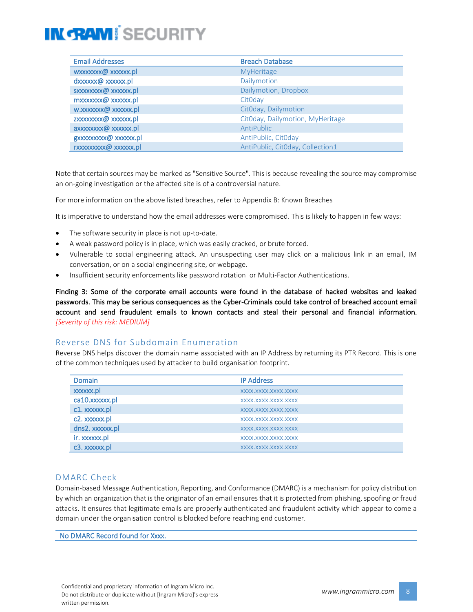| <b>Email Addresses</b> | <b>Breach Database</b>           |
|------------------------|----------------------------------|
| wxxxxxx@xxxxxx.pl      | <b>MyHeritage</b>                |
| dxxxxxx@xxxxxx.pl      | Dailymotion                      |
| sxxxxxxx@xxxxxx.pl     | Dailymotion, Dropbox             |
| mxxxxxxx@ xxxxxx.pl    | CitOday                          |
| w.xxxxxx@xxxxxx.pl     | CitOday, Dailymotion             |
| zxxxxxxxx@xxxxxx.pl    | CitOday, Dailymotion, MyHeritage |
| axxxxxxx@ xxxxxx.pl    | AntiPublic                       |
| gxxxxxxxx@xxxxxx.pl    | AntiPublic, CitOday              |
| rxxxxxxxx@xxxxxx.pl    | AntiPublic, CitOday, Collection1 |

Note that certain sources may be marked as "Sensitive Source". This is because revealing the source may compromise an on-going investigation or the affected site is of a controversial nature.

For more information on the above listed breaches, refer to Appendix B: Known Breaches

It is imperative to understand how the email addresses were compromised. This is likely to happen in few ways:

- The software security in place is not up-to-date.
- A weak password policy is in place, which was easily cracked, or brute forced.
- Vulnerable to social engineering attack. An unsuspecting user may click on a malicious link in an email, IM conversation, or on a social engineering site, or webpage.
- Insufficient security enforcements like password rotation or Multi-Factor Authentications.

Finding 3: Some of the corporate email accounts were found in the database of hacked websites and leaked passwords. This may be serious consequences as the Cyber-Criminals could take control of breached account email account and send fraudulent emails to known contacts and steal their personal and financial information. *[Severity of this risk: MEDIUM]*

#### Reverse DNS for Subdomain Enumeration

Reverse DNS helps discover the domain name associated with an IP Address by returning its PTR Record. This is one of the common techniques used by attacker to build organisation footprint.

| <b>Domain</b>   | <b>IP Address</b>   |
|-----------------|---------------------|
| xxxxxx.pl       | XXXX.XXXX.XXXX.XXXX |
| ca10.xxxxxx.pl  | XXXX.XXXX.XXXX.XXXX |
| c1. xxxxxx.pl   | XXXX.XXXX.XXXX.XXXX |
| c2. xxxxxx.pl   | XXXX.XXXX.XXXX.XXXX |
| dns2. xxxxxx.pl | XXXX.XXXX.XXXX.XXXX |
| ir. xxxxxx.pl   | XXXX.XXXX.XXXX.XXXX |
| c3. xxxxxx.pl   | XXXX.XXXX.XXXX.XXXX |

#### DMARC Check

Domain-based Message Authentication, Reporting, and Conformance (DMARC) is a mechanism for policy distribution by which an organization that is the originator of an email ensures that it is protected from phishing, spoofing or fraud attacks. It ensures that legitimate emails are properly authenticated and fraudulent activity which appear to come a domain under the organisation control is blocked before reaching end customer.

No DMARC Record found for Xxxx.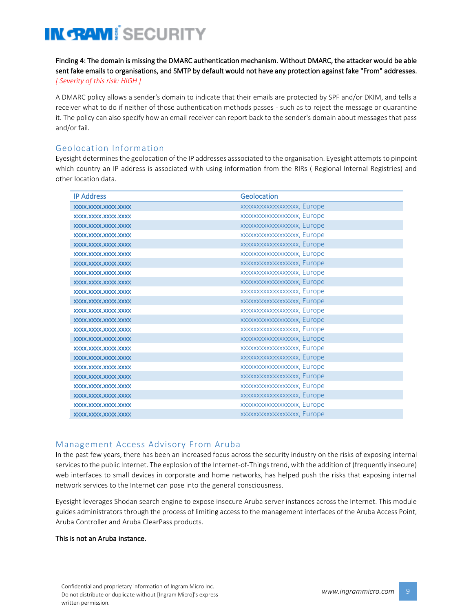Finding 4: The domain is missing the DMARC authentication mechanism. Without DMARC, the attacker would be able sent fake emails to organisations, and SMTP by default would not have any protection against fake "From" addresses. *[ Severity of this risk: HIGH ]*

A DMARC policy allows a sender's domain to indicate that their emails are protected by SPF and/or DKIM, and tells a receiver what to do if neither of those authentication methods passes - such as to reject the message or quarantine it. The policy can also specify how an email receiver can report back to the sender's domain about messages that pass and/or fail.

#### Geolocation Information

Eyesight determines the geolocation of the IP addresses asssociated to the organisation. Eyesight attempts to pinpoint which country an IP address is associated with using information from the RIRs ( Regional Internal Registries) and other location data.

| <b>IP Address</b>        | Geolocation               |
|--------------------------|---------------------------|
| XXXX.XXXX.XXXX.XXXX      | xxxxxxxxxxxxxxxxx, Europe |
| XXXX.XXXX.XXXX.XXXX.XXXX | xxxxxxxxxxxxxxxxx, Europe |
| XXXX.XXXX.XXXX.XXXX      | XXXXXXXXXXXXXXXXX, Europe |
| XXXX.XXXX.XXXX.XXXX.     | xxxxxxxxxxxxxxxxx, Europe |
| XXXX.XXXX.XXXX.XXXX      | XXXXXXXXXXXXXXXXX, Europe |
| XXXX.XXXX.XXXX.XXXX.XXXX | XXXXXXXXXXXXXXXXX, Europe |
| XXXX.XXXX.XXXX.XXXX      | XXXXXXXXXXXXXXXXX, Europe |
| XXXX.XXXX.XXXX.XXXX.     | XXXXXXXXXXXXXXXXX, Europe |
| XXXX.XXXX.XXXX.XXXX      | XXXXXXXXXXXXXXXXX, Europe |
| XXXX.XXXX.XXXX.XXXX      | XXXXXXXXXXXXXXXXX, Europe |
| XXXX.XXXX.XXXX.XXXX.     | xxxxxxxxxxxxxxxxx, Europe |
| XXXX.XXXX.XXXX.XXXX      | XXXXXXXXXXXXXXXXX, Europe |
| XXXX.XXXX.XXXX.XXXX.XXXX | xxxxxxxxxxxxxxxxx, Europe |
| XXXX.XXXX.XXXX.XXXX      | XXXXXXXXXXXXXXXXX, Europe |
| XXXX.XXXX.XXXX.XXXX      | xxxxxxxxxxxxxxxxx, Europe |
| XXXX.XXXX.XXXX.XXXX      | XXXXXXXXXXXXXXXXX, Europe |
| XXXX.XXXX.XXXX.XXXX      | xxxxxxxxxxxxxxxxx, Europe |
| XXXX.XXXX.XXXX.XXXX.     | XXXXXXXXXXXXXXXXX, Europe |
| XXXX.XXXX.XXXX.XXXX      | xxxxxxxxxxxxxxxxx, Europe |
| XXXX.XXXX.XXXX.XXXX.XXXX | XXXXXXXXXXXXXXXXX, Europe |
| XXXX.XXXX.XXXX.XXXX      | xxxxxxxxxxxxxxxxx, Europe |
| XXXX.XXXX.XXXX.XXXX.XXXX | XXXXXXXXXXXXXXXXX, Europe |
| XXXX.XXXX.XXXX.XXXX      | XXXXXXXXXXXXXXXXX, Europe |

#### Management Access Advisory From Aruba

In the past few years, there has been an increased focus across the security industry on the risks of exposing internal services to the public Internet. The explosion of the Internet-of-Things trend, with the addition of (frequently insecure) web interfaces to small devices in corporate and home networks, has helped push the risks that exposing internal network services to the Internet can pose into the general consciousness.

Eyesight leverages Shodan search engine to expose insecure Aruba server instances across the Internet. This module guides administrators through the process of limiting access to the management interfaces of the Aruba Access Point, Aruba Controller and Aruba ClearPass products.

#### This is not an Aruba instance.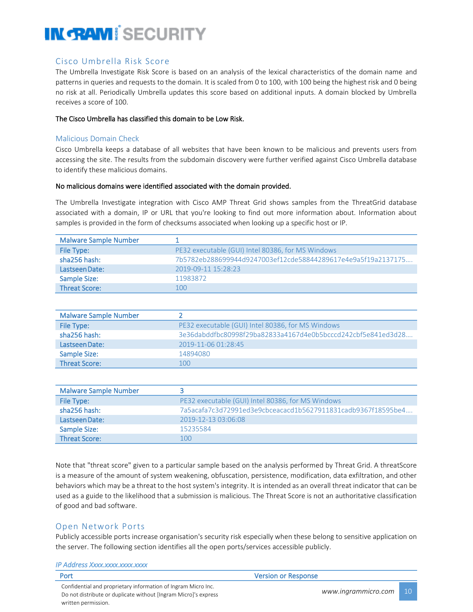#### Cisco Umbrella Risk Score

The Umbrella Investigate Risk Score is based on an analysis of the lexical characteristics of the domain name and patterns in queries and requests to the domain. It is scaled from 0 to 100, with 100 being the highest risk and 0 being no risk at all. Periodically Umbrella updates this score based on additional inputs. A domain blocked by Umbrella receives a score of 100.

#### The Cisco Umbrella has classified this domain to be Low Risk.

#### Malicious Domain Check

Cisco Umbrella keeps a database of all websites that have been known to be malicious and prevents users from accessing the site. The results from the subdomain discovery were further verified against Cisco Umbrella database to identify these malicious domains.

#### No malicious domains were identified associated with the domain provided.

The Umbrella Investigate integration with Cisco AMP Threat Grid shows samples from the ThreatGrid database associated with a domain, IP or URL that you're looking to find out more information about. Information about samples is provided in the form of checksums associated when looking up a specific host or IP.

| <b>Malware Sample Number</b> |                                                              |
|------------------------------|--------------------------------------------------------------|
| File Type:                   | PE32 executable (GUI) Intel 80386, for MS Windows            |
| sha256 hash:                 | 7b5782eb288699944d9247003ef12cde58844289617e4e9a5f19a2137175 |
| Lastseen Date:               | 2019-09-11 15:28:23                                          |
| Sample Size:                 | 11983872                                                     |
| <b>Threat Score:</b>         | 100                                                          |

| <b>Malware Sample Number</b> |                                                              |
|------------------------------|--------------------------------------------------------------|
| File Type:                   | PE32 executable (GUI) Intel 80386, for MS Windows            |
| sha256 hash:                 | 3e36dabddfbc80998f29ba82833a4167d4e0b5bcccd242cbf5e841ed3d28 |
| Lastseen Date:               | 2019-11-06 01:28:45                                          |
| Sample Size:                 | 14894080                                                     |
| <b>Threat Score:</b>         | 100                                                          |

| <b>Malware Sample Number</b> |                                                              |
|------------------------------|--------------------------------------------------------------|
| File Type:                   | PE32 executable (GUI) Intel 80386, for MS Windows            |
| sha256 hash:                 | 7a5acafa7c3d72991ed3e9cbceacacd1b5627911831cadb9367f18595be4 |
| Lastseen Date:               | 2019-12-13 03:06:08                                          |
| Sample Size:                 | 15235584                                                     |
| <b>Threat Score:</b>         | 100                                                          |

Note that "threat score" given to a particular sample based on the analysis performed by Threat Grid. A threatScore is a measure of the amount of system weakening, obfuscation, persistence, modification, data exfiltration, and other behaviors which may be a threat to the host system's integrity. It is intended as an overall threat indicator that can be used as a guide to the likelihood that a submission is malicious. The Threat Score is not an authoritative classification of good and bad software.

#### Open Network Ports

Publicly accessible ports increase organisation's security risk especially when these belong to sensitive application on the server. The following section identifies all the open ports/services accessible publicly.

| IP Address Xxxx.xxxx.xxxx.xxxx                                                                                                   |                            |     |
|----------------------------------------------------------------------------------------------------------------------------------|----------------------------|-----|
| Port                                                                                                                             | <b>Version or Response</b> |     |
| Confidential and proprietary information of Ingram Micro Inc.<br>Do not distribute or duplicate without [Ingram Micro]'s express | www.ingrammicro.com        | -10 |
| written permission.                                                                                                              |                            |     |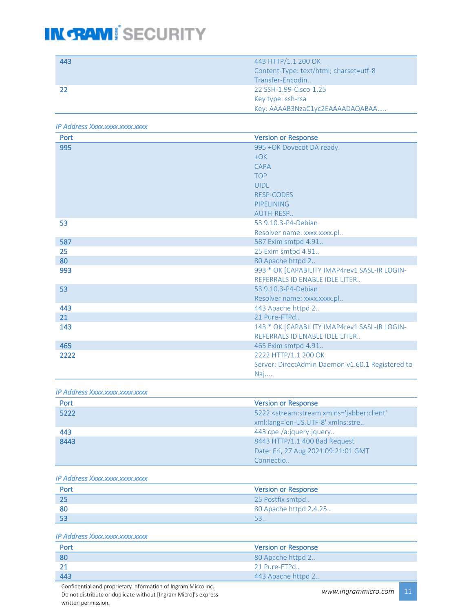| 443 | 443 HTTP/1.1 200 OK                    |
|-----|----------------------------------------|
|     | Content-Type: text/html; charset=utf-8 |
|     | Transfer-Encodin                       |
|     | 22 SSH-1.99-Cisco-1.25                 |
|     | Key type: ssh-rsa                      |
|     | Key: AAAAB3NzaC1yc2EAAAADAQABAA        |

*IP Address Xxxx.xxxx.xxxx.xxxx* 

| Port | <b>Version or Response</b>                       |
|------|--------------------------------------------------|
| 995  | 995 + OK Dovecot DA ready.                       |
|      | $+OK$                                            |
|      | <b>CAPA</b>                                      |
|      | <b>TOP</b>                                       |
|      | <b>UIDL</b>                                      |
|      | <b>RESP-CODES</b>                                |
|      | PIPELINING                                       |
|      | AUTH-RESP                                        |
| 53   | 53 9.10.3-P4-Debian                              |
|      | Resolver name: xxxx.xxxx.pl                      |
| 587  | 587 Exim smtpd 4.91                              |
| 25   | 25 Exim smtpd 4.91                               |
| 80   | 80 Apache httpd 2                                |
| 993  | 993 * OK [CAPABILITY IMAP4rev1 SASL-IR LOGIN-    |
|      | REFERRALS ID ENABLE IDLE LITER                   |
| 53   | 53 9.10.3-P4-Debian                              |
|      | Resolver name: xxxx.xxxx.pl                      |
| 443  | 443 Apache httpd 2                               |
| 21   | 21 Pure-FTPd                                     |
| 143  | 143 * OK [CAPABILITY IMAP4rev1 SASL-IR LOGIN-    |
|      | REFERRALS ID ENABLE IDLE LITER                   |
| 465  | 465 Exim smtpd 4.91                              |
| 2222 | 2222 HTTP/1.1 200 OK                             |
|      | Server: DirectAdmin Daemon v1.60.1 Registered to |
|      | Naj                                              |

*IP Address Xxxx.xxxx.xxxx.xxxx* 

| Port             | <b>Version or Response</b>                                            |
|------------------|-----------------------------------------------------------------------|
| $\frac{1}{5222}$ | 5222 <stream:stream <="" th="" xmlns="jabber:client"></stream:stream> |
|                  | xml:lang='en-US.UTF-8' xmlns:stre                                     |
| 443              | 443 cpe:/a:jquery:jquery                                              |
| 8443             | 8443 HTTP/1.1 400 Bad Request                                         |
|                  | Date: Fri, 27 Aug 2021 09:21:01 GMT                                   |
|                  | Connectio                                                             |

*IP Address Xxxx.xxxx.xxxx.xxxx* 

| Port | <b>Version or Response</b> |
|------|----------------------------|
| -25  | 25 Postfix smtpd           |
| 80   | 80 Apache httpd 2.4.25     |
| 53   |                            |

#### *IP Address Xxxx.xxxx.xxxx.xxxx*

| Port | <b>Version or Response</b> |
|------|----------------------------|
| -80  | 80 Apache httpd 2          |
|      | 21 Pure-FTPd               |
| 443  | 443 Apache httpd 2         |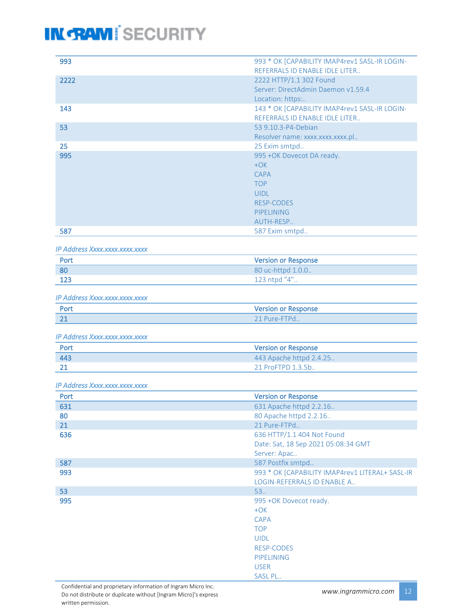| 993                            | 993 * OK [CAPABILITY IMAP4rev1 SASL-IR LOGIN- |
|--------------------------------|-----------------------------------------------|
|                                | REFERRALS ID ENABLE IDLE LITER                |
| 2222                           | 2222 HTTP/1.1 302 Found                       |
|                                | Server: DirectAdmin Daemon v1.59.4            |
|                                | Location: https:                              |
| 143                            | 143 * OK [CAPABILITY IMAP4rev1 SASL-IR LOGIN- |
|                                | REFERRALS ID ENABLE IDLE LITER                |
| 53                             | 53 9.10.3-P4-Debian                           |
|                                | Resolver name: xxxx.xxxx.xxxx.pl              |
| 25                             | 25 Exim smtpd                                 |
| 995                            | 995 +OK Dovecot DA ready.                     |
|                                | $+OK$                                         |
|                                | <b>CAPA</b>                                   |
|                                | <b>TOP</b>                                    |
|                                | <b>UIDL</b>                                   |
|                                | <b>RESP-CODES</b>                             |
|                                | <b>PIPELINING</b>                             |
|                                | AUTH-RESP                                     |
| 587                            | 587 Exim smtpd                                |
|                                |                                               |
| IP Address Xxxx.xxxx.xxxx.xxxx |                                               |
| Port                           | <b>Version or Response</b>                    |
| 80                             | $80$ uc-httpd $100$                           |

| 80  | 80 uc-httpd 1.0.0      |
|-----|------------------------|
| 123 | $123$ ntnd " $4"$<br>⊤ |

*IP Address Xxxx.xxxx.xxxx.xxxx* 

| Port         | <b>Version or Response</b> |
|--------------|----------------------------|
| $\sim$<br>44 | 21 Pure-                   |

*IP Address Xxxx.xxxx.xxxx.xxxx* 

| Port | <b>Version or Response</b> |
|------|----------------------------|
| 443  | 443 Apache httpd 2.4.25.   |
|      | 21 ProFTPD 1.3.5b          |

*IP Address Xxxx.xxxx.xxxx.xxxx* 

| <b>Version or Response</b>                      |
|-------------------------------------------------|
| 631 Apache httpd 2.2.16                         |
| 80 Apache httpd 2.2.16                          |
| 21 Pure-FTPd                                    |
| 636 HTTP/1.1 404 Not Found                      |
| Date: Sat, 18 Sep 2021 05:08:34 GMT             |
| Server: Apac                                    |
| 587 Postfix smtpd                               |
| 993 * OK [CAPABILITY IMAP4rev1 LITERAL+ SASL-IR |
| LOGIN-REFERRALS ID ENABLE A                     |
| 53.                                             |
| 995 + OK Dovecot ready.                         |
| $+OK$                                           |
| <b>CAPA</b>                                     |
| <b>TOP</b>                                      |
| <b>UIDL</b>                                     |
| <b>RESP-CODES</b>                               |
| PIPELINING                                      |
| <b>USER</b>                                     |
| <b>SASL PL</b>                                  |
|                                                 |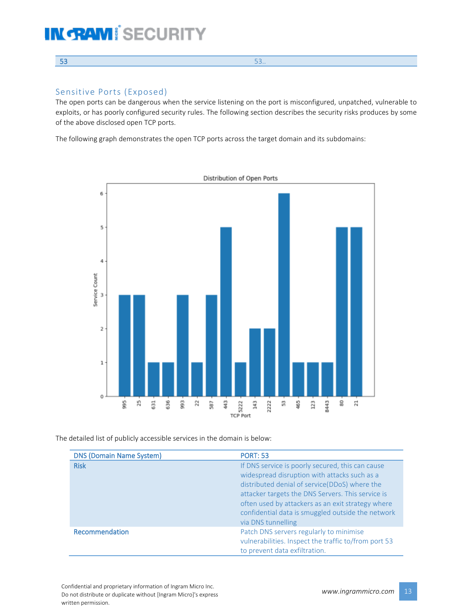#### $53.$

#### Sensitive Ports (Exposed)

The open ports can be dangerous when the service listening on the port is misconfigured, unpatched, vulnerable to exploits, or has poorly configured security rules. The following section describes the security risks produces by some of the above disclosed open TCP ports.

The following graph demonstrates the open TCP ports across the target domain and its subdomains:



The detailed list of publicly accessible services in the domain is below:

| <b>DNS (Domain Name System)</b> | <b>PORT: 53</b>                                                                                                                                                                                                                                                                                                                        |
|---------------------------------|----------------------------------------------------------------------------------------------------------------------------------------------------------------------------------------------------------------------------------------------------------------------------------------------------------------------------------------|
| <b>Risk</b>                     | If DNS service is poorly secured, this can cause<br>widespread disruption with attacks such as a<br>distributed denial of service(DDoS) where the<br>attacker targets the DNS Servers. This service is<br>often used by attackers as an exit strategy where<br>confidential data is smuggled outside the network<br>via DNS tunnelling |
| Recommendation                  | Patch DNS servers regularly to minimise<br>vulnerabilities. Inspect the traffic to/from port 53<br>to prevent data exfiltration.                                                                                                                                                                                                       |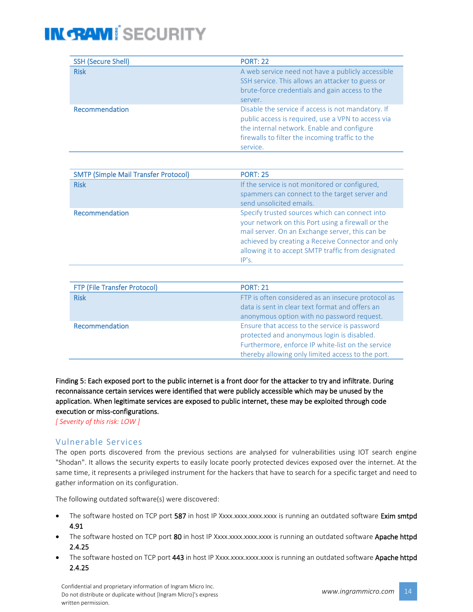| <b>SSH (Secure Shell)</b> | <b>PORT: 22</b>                                                                                                                                                                                                       |
|---------------------------|-----------------------------------------------------------------------------------------------------------------------------------------------------------------------------------------------------------------------|
| <b>Risk</b>               | A web service need not have a publicly accessible<br>SSH service. This allows an attacker to guess or<br>brute-force credentials and gain access to the                                                               |
|                           | server.                                                                                                                                                                                                               |
| Recommendation            | Disable the service if access is not mandatory. If<br>public access is required, use a VPN to access via<br>the internal network. Enable and configure<br>firewalls to filter the incoming traffic to the<br>service. |

| <b>SMTP (Simple Mail Transfer Protocol)</b> | <b>PORT: 25</b>                                                                                                                                                                                                                                                            |  |
|---------------------------------------------|----------------------------------------------------------------------------------------------------------------------------------------------------------------------------------------------------------------------------------------------------------------------------|--|
| <b>Risk</b>                                 | If the service is not monitored or configured,<br>spammers can connect to the target server and<br>send unsolicited emails.                                                                                                                                                |  |
| Recommendation                              | Specify trusted sources which can connect into<br>your network on this Port using a firewall or the<br>mail server. On an Exchange server, this can be<br>achieved by creating a Receive Connector and only<br>allowing it to accept SMTP traffic from designated<br>IP's. |  |

| <b>FTP (File Transfer Protocol)</b> | <b>PORT: 21</b>                                                                                                                                                                                       |
|-------------------------------------|-------------------------------------------------------------------------------------------------------------------------------------------------------------------------------------------------------|
| <b>Risk</b>                         | FTP is often considered as an insecure protocol as<br>data is sent in clear text format and offers an<br>anonymous option with no password request.                                                   |
| Recommendation                      | Ensure that access to the service is password<br>protected and anonymous login is disabled.<br>Furthermore, enforce IP white-list on the service<br>thereby allowing only limited access to the port. |

Finding 5: Each exposed port to the public internet is a front door for the attacker to try and infiltrate. During reconnaissance certain services were identified that were publicly accessible which may be unused by the application. When legitimate services are exposed to public internet, these may be exploited through code execution or miss-configurations.

*[ Severity of this risk: LOW ]*

#### Vulnerable Services

The open ports discovered from the previous sections are analysed for vulnerabilities using IOT search engine "Shodan". It allows the security experts to easily locate poorly protected devices exposed over the internet. At the same time, it represents a privileged instrument for the hackers that have to search for a specific target and need to gather information on its configuration.

The following outdated software(s) were discovered:

- The software hosted on TCP port 587 in host IP Xxxx.xxxx.xxxx.xxxx is running an outdated software Exim smtpd 4.91
- The software hosted on TCP port 80 in host IP Xxxx.xxxx.xxxx.xxxx is running an outdated software Apache httpd 2.4.25
- The software hosted on TCP port 443 in host IP Xxxx.xxxx.xxxx.xxxx is running an outdated software Apache httpd 2.4.25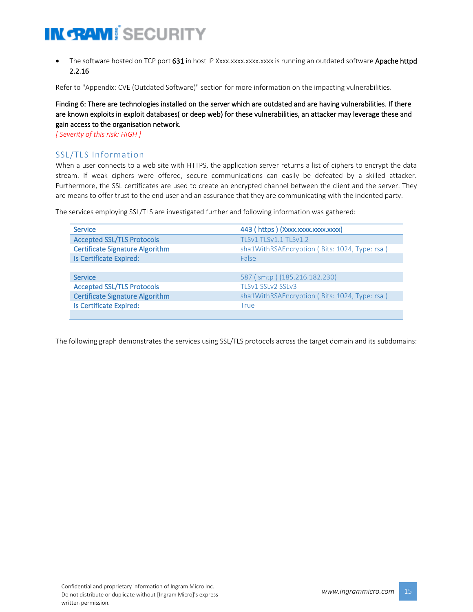• The software hosted on TCP port 631 in host IP Xxxx.xxxx.xxxx.xxxx is running an outdated software Apache httpd 2.2.16

Refer to "Appendix: CVE (Outdated Software)" section for more information on the impacting vulnerabilities.

#### Finding 6: There are technologies installed on the server which are outdated and are having vulnerabilities. If there are known exploits in exploit databases( or deep web) for these vulnerabilities, an attacker may leverage these and gain access to the organisation network.

*[ Severity of this risk: HIGH ]*

#### SSL/TLS Information

When a user connects to a web site with HTTPS, the application server returns a list of ciphers to encrypt the data stream. If weak ciphers were offered, secure communications can easily be defeated by a skilled attacker. Furthermore, the SSL certificates are used to create an encrypted channel between the client and the server. They are means to offer trust to the end user and an assurance that they are communicating with the indented party.

The services employing SSL/TLS are investigated further and following information was gathered:

| <b>Service</b>                         | 443 (https) (Xxxx.xxxx.xxxx.xxxx)             |
|----------------------------------------|-----------------------------------------------|
| <b>Accepted SSL/TLS Protocols</b>      | TLSv1 TLSv1.1 TLSv1.2                         |
| <b>Certificate Signature Algorithm</b> | sha1WithRSAEncryption (Bits: 1024, Type: rsa) |
| Is Certificate Expired:                | False                                         |
|                                        |                                               |
| <b>Service</b>                         | 587 (smtp) (185.216.182.230)                  |
| <b>Accepted SSL/TLS Protocols</b>      | TLSv1 SSLv2 SSLv3                             |
| <b>Certificate Signature Algorithm</b> | sha1WithRSAEncryption (Bits: 1024, Type: rsa) |
| Is Certificate Expired:                | True                                          |
|                                        |                                               |

The following graph demonstrates the services using SSL/TLS protocols across the target domain and its subdomains: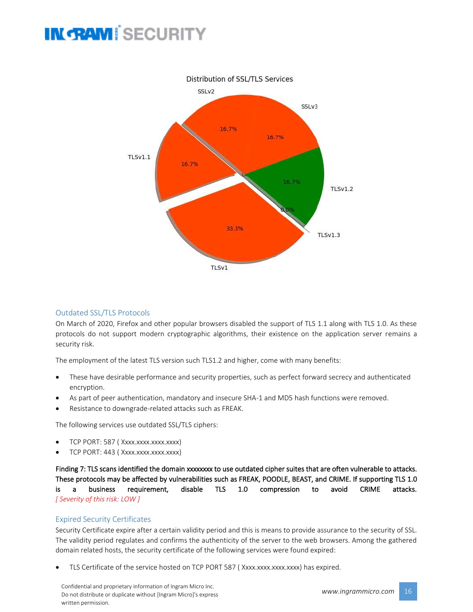

#### Outdated SSL/TLS Protocols

On March of 2020, Firefox and other popular browsers disabled the support of TLS 1.1 along with TLS 1.0. As these protocols do not support modern cryptographic algorithms, their existence on the application server remains a security risk.

The employment of the latest TLS version such TLS1.2 and higher, come with many benefits:

- These have desirable performance and security properties, such as perfect forward secrecy and authenticated encryption.
- As part of peer authentication, mandatory and insecure SHA-1 and MD5 hash functions were removed.
- Resistance to downgrade-related attacks such as FREAK.

The following services use outdated SSL/TLS ciphers:

- TCP PORT: 587 ( Xxxx.xxxx.xxxx.xxxx)
- TCP PORT: 443 (Xxxx.xxxx.xxxx.xxxx)

Finding 7: TLS scans identified the domain xxxxxxx to use outdated cipher suites that are often vulnerable to attacks. These protocols may be affected by vulnerabilities such as FREAK, POODLE, BEAST, and CRIME. If supporting TLS 1.0 is a business requirement, disable TLS 1.0 compression to avoid CRIME attacks. *[ Severity of this risk: LOW ]*

#### Expired Security Certificates

Security Certificate expire after a certain validity period and this is means to provide assurance to the security of SSL. The validity period regulates and confirms the authenticity of the server to the web browsers. Among the gathered domain related hosts, the security certificate of the following services were found expired:

TLS Certificate of the service hosted on TCP PORT 587 (Xxxx.xxxx.xxxx.xxxx) has expired.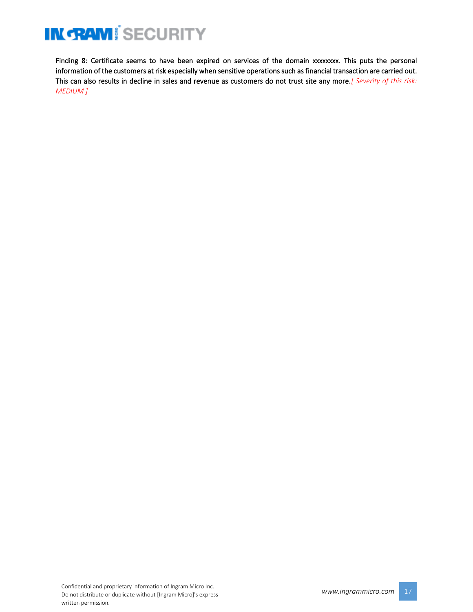Finding 8: Certificate seems to have been expired on services of the domain xxxxxxxx. This puts the personal information of the customers at risk especially when sensitive operations such as financial transaction are carried out. This can also results in decline in sales and revenue as customers do not trust site any more.*[ Severity of this risk: MEDIUM ]*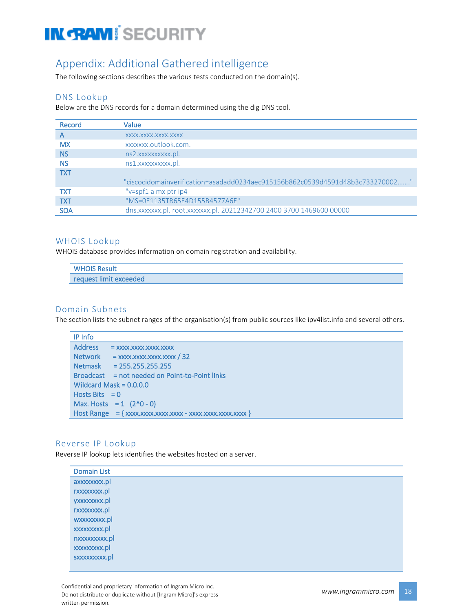### Appendix: Additional Gathered intelligence

The following sections describes the various tests conducted on the domain(s).

#### DNS Lookup

Below are the DNS records for a domain determined using the dig DNS tool.

| Record     | Value                                                                         |
|------------|-------------------------------------------------------------------------------|
| А          | XXXX.XXXX.XXXX.XXXX                                                           |
| <b>MX</b>  | xxxxxxx.outlook.com.                                                          |
| <b>NS</b>  | ns2.xxxxxxxxxx.pl.                                                            |
| <b>NS</b>  | ns1.xxxxxxxxxx.pl.                                                            |
| <b>TXT</b> |                                                                               |
|            | "ciscocidomainverification=asadadd0234aec915156b862c0539d4591d48b3c733270002" |
| <b>TXT</b> | " $v = spf1$ a mx ptr ip4                                                     |
| <b>TXT</b> | "MS=0E1135TR65E4D155B4577A6E"                                                 |
| <b>SOA</b> | dns.xxxxxx.pl. root.xxxxxx.pl. 20212342700 2400 3700 1469600 00000            |

#### WHOIS Lookup

WHOIS database provides information on domain registration and availability.

| <b>WHOIS Result</b>    |  |  |
|------------------------|--|--|
| request limit exceeded |  |  |

#### Domain Subnets

The section lists the subnet ranges of the organisation(s) from public sources like ipv4list.info and several others.

| IP Info          |                                                |
|------------------|------------------------------------------------|
| <b>Address</b>   | $=$ XXXX.XXXX.XXXX.XXXX                        |
| <b>Network</b>   | $=$ xxxx.xxxx.xxxx.xxxx / 32                   |
| <b>Netmask</b>   | $= 255.255.255.255$                            |
|                  | Broadcast = not needed on Point-to-Point links |
|                  | Wildcard Mask = $0.0.0.0$                      |
| Hosts Bits $= 0$ |                                                |
|                  | Max. Hosts = $1$ (2^0 - 0)                     |
|                  |                                                |

#### Reverse IP Lookup

Reverse IP lookup lets identifies the websites hosted on a server.

| <b>Domain List</b> |  |
|--------------------|--|
| axxxxxxxx.pl       |  |
| rxxxxxxx.pl        |  |
| yxxxxxxxx.pl       |  |
| rxxxxxxx.pl        |  |
| wxxxxxxxx.pl       |  |
| xxxxxxxxx.pl       |  |
| nxxxxxxxx.pl       |  |
| xxxxxxxxx.pl       |  |
| sxxxxxxxxx.pl      |  |
|                    |  |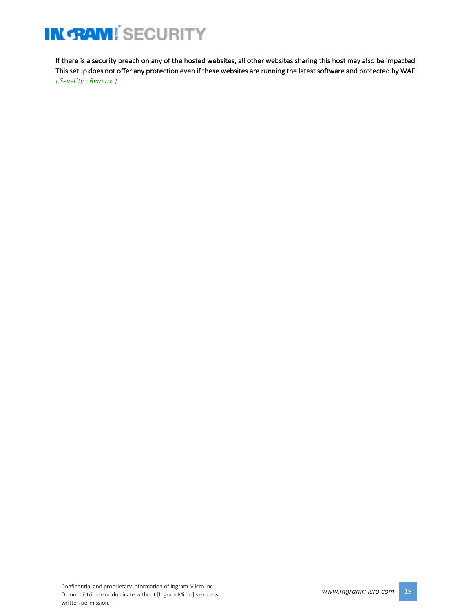If there is a security breach on any of the hosted websites, all other websites sharing this host may also be impacted. This setup does not offer any protection even if these websites are running the latest software and protected by WAF. *[ Severity : Remark ]*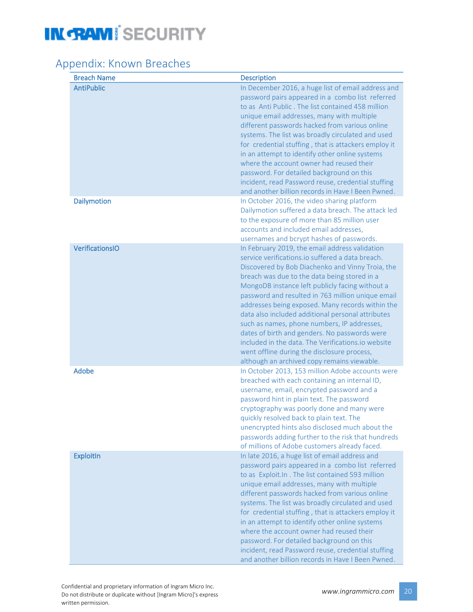### Appendix: Known Breaches

| <b>Breach Name</b>     | <b>Description</b>                                                                                                                                                                                                                                                                                                                                                                                                                                                                                                                                                                                                                                                          |
|------------------------|-----------------------------------------------------------------------------------------------------------------------------------------------------------------------------------------------------------------------------------------------------------------------------------------------------------------------------------------------------------------------------------------------------------------------------------------------------------------------------------------------------------------------------------------------------------------------------------------------------------------------------------------------------------------------------|
| <b>AntiPublic</b>      | In December 2016, a huge list of email address and<br>password pairs appeared in a combo list referred<br>to as Anti Public. The list contained 458 million<br>unique email addresses, many with multiple<br>different passwords hacked from various online<br>systems. The list was broadly circulated and used<br>for credential stuffing, that is attackers employ it<br>in an attempt to identify other online systems<br>where the account owner had reused their<br>password. For detailed background on this<br>incident, read Password reuse, credential stuffing<br>and another billion records in Have I Been Pwned.                                              |
| <b>Dailymotion</b>     | In October 2016, the video sharing platform<br>Dailymotion suffered a data breach. The attack led<br>to the exposure of more than 85 million user<br>accounts and included email addresses,<br>usernames and bcrypt hashes of passwords.                                                                                                                                                                                                                                                                                                                                                                                                                                    |
| <b>VerificationsIO</b> | In February 2019, the email address validation<br>service verifications.io suffered a data breach.<br>Discovered by Bob Diachenko and Vinny Troia, the<br>breach was due to the data being stored in a<br>MongoDB instance left publicly facing without a<br>password and resulted in 763 million unique email<br>addresses being exposed. Many records within the<br>data also included additional personal attributes<br>such as names, phone numbers, IP addresses,<br>dates of birth and genders. No passwords were<br>included in the data. The Verifications.io website<br>went offline during the disclosure process,<br>although an archived copy remains viewable. |
| <b>Adobe</b>           | In October 2013, 153 million Adobe accounts were<br>breached with each containing an internal ID,<br>username, email, encrypted password and a<br>password hint in plain text. The password<br>cryptography was poorly done and many were<br>quickly resolved back to plain text. The<br>unencrypted hints also disclosed much about the<br>passwords adding further to the risk that hundreds<br>of millions of Adobe customers already faced.                                                                                                                                                                                                                             |
| <b>ExploitIn</b>       | In late 2016, a huge list of email address and<br>password pairs appeared in a combo list referred<br>to as Exploit.In . The list contained 593 million<br>unique email addresses, many with multiple<br>different passwords hacked from various online<br>systems. The list was broadly circulated and used<br>for credential stuffing, that is attackers employ it<br>in an attempt to identify other online systems<br>where the account owner had reused their<br>password. For detailed background on this<br>incident, read Password reuse, credential stuffing<br>and another billion records in Have I Been Pwned.                                                  |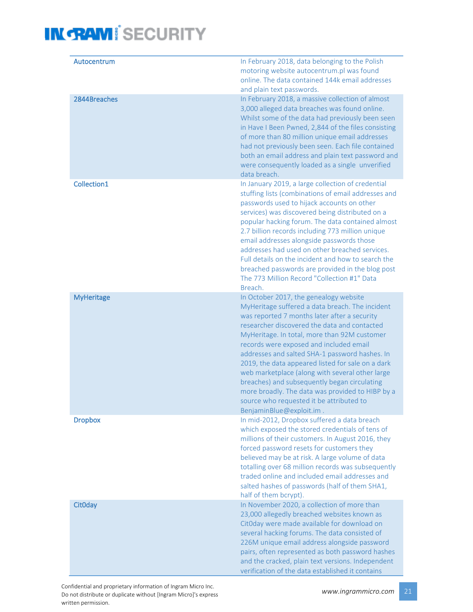| Autocentrum       | In February 2018, data belonging to the Polish<br>motoring website autocentrum.pl was found<br>online. The data contained 144k email addresses<br>and plain text passwords.                                                                                                                                                                                                                                                                                                                                                                                                                                                |
|-------------------|----------------------------------------------------------------------------------------------------------------------------------------------------------------------------------------------------------------------------------------------------------------------------------------------------------------------------------------------------------------------------------------------------------------------------------------------------------------------------------------------------------------------------------------------------------------------------------------------------------------------------|
| 2844Breaches      | In February 2018, a massive collection of almost<br>3,000 alleged data breaches was found online.<br>Whilst some of the data had previously been seen<br>in Have I Been Pwned, 2,844 of the files consisting<br>of more than 80 million unique email addresses<br>had not previously been seen. Each file contained<br>both an email address and plain text password and<br>were consequently loaded as a single unverified<br>data breach.                                                                                                                                                                                |
| Collection1       | In January 2019, a large collection of credential<br>stuffing lists (combinations of email addresses and<br>passwords used to hijack accounts on other<br>services) was discovered being distributed on a<br>popular hacking forum. The data contained almost<br>2.7 billion records including 773 million unique<br>email addresses alongside passwords those<br>addresses had used on other breached services.<br>Full details on the incident and how to search the<br>breached passwords are provided in the blog post<br>The 773 Million Record "Collection #1" Data<br>Breach.                                       |
| <b>MyHeritage</b> | In October 2017, the genealogy website<br>MyHeritage suffered a data breach. The incident<br>was reported 7 months later after a security<br>researcher discovered the data and contacted<br>MyHeritage. In total, more than 92M customer<br>records were exposed and included email<br>addresses and salted SHA-1 password hashes. In<br>2019, the data appeared listed for sale on a dark<br>web marketplace (along with several other large<br>breaches) and subsequently began circulating<br>more broadly. The data was provided to HIBP by a<br>source who requested it be attributed to<br>BenjaminBlue@exploit.im. |
| <b>Dropbox</b>    | In mid-2012, Dropbox suffered a data breach<br>which exposed the stored credentials of tens of<br>millions of their customers. In August 2016, they<br>forced password resets for customers they<br>believed may be at risk. A large volume of data<br>totalling over 68 million records was subsequently<br>traded online and included email addresses and<br>salted hashes of passwords (half of them SHA1,<br>half of them bcrypt).                                                                                                                                                                                     |
| <b>CitOday</b>    | In November 2020, a collection of more than<br>23,000 allegedly breached websites known as<br>CitOday were made available for download on<br>several hacking forums. The data consisted of<br>226M unique email address alongside password<br>pairs, often represented as both password hashes<br>and the cracked, plain text versions. Independent<br>verification of the data established it contains                                                                                                                                                                                                                    |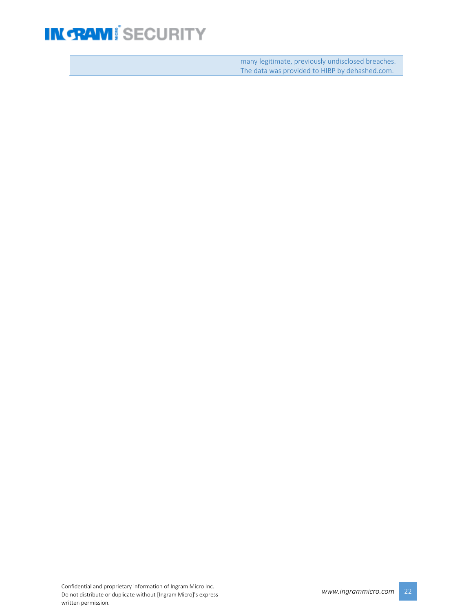many legitimate, previously undisclosed breaches. The data was provided to HIBP by dehashed.com.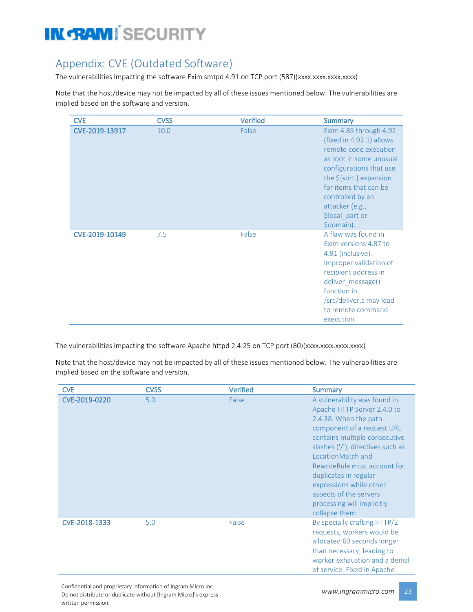### Appendix: CVE (Outdated Software)

The vulnerabilities impacting the software Exim smtpd 4.91 on TCP port (587)(xxxx.xxxx.xxxx.xxxx.

Note that the host/device may not be impacted by all of these issues mentioned below. The vulnerabilities are implied based on the software and version.

| <b>CVE</b>     | <b>CVSS</b> | <b>Verified</b> | <b>Summary</b>                                                                                                                                                                                                                                                  |
|----------------|-------------|-----------------|-----------------------------------------------------------------------------------------------------------------------------------------------------------------------------------------------------------------------------------------------------------------|
| CVE-2019-13917 | 10.0        | False           | Exim 4.85 through 4.92<br>(fixed in 4.92.1) allows<br>remote code execution<br>as root in some unusual<br>configurations that use<br>the $$$ {sort } expansion<br>for items that can be<br>controlled by an<br>attacker (e.g.,<br>\$local part or<br>\$domain). |
| CVE-2019-10149 | 7.5         | False           | A flaw was found in<br>Exim versions 4.87 to<br>4.91 (inclusive).<br>Improper validation of<br>recipient address in<br>deliver_message()<br>function in<br>/src/deliver.c may lead<br>to remote command<br>execution.                                           |

The vulnerabilities impacting the software Apache httpd 2.4.25 on TCP port (80)(xxxx.xxxx.xxxx.xxxx)

Note that the host/device may not be impacted by all of these issues mentioned below. The vulnerabilities are implied based on the software and version.

| <b>CVE</b>    | <b>CVSS</b> | <b>Verified</b> | <b>Summary</b>                                                                                                                                                                                                                                                                                                                                                              |
|---------------|-------------|-----------------|-----------------------------------------------------------------------------------------------------------------------------------------------------------------------------------------------------------------------------------------------------------------------------------------------------------------------------------------------------------------------------|
| CVE-2019-0220 | 5.0         | False           | A vulnerability was found in<br>Apache HTTP Server 2.4.0 to<br>2.4.38. When the path<br>component of a request URL<br>contains multiple consecutive<br>slashes ('/'), directives such as<br>LocationMatch and<br>RewriteRule must account for<br>duplicates in regular<br>expressions while other<br>aspects of the servers<br>processing will implicitly<br>collapse them. |
| CVE-2018-1333 | 5.0         | False           | By specially crafting HTTP/2<br>requests, workers would be<br>allocated 60 seconds longer<br>than necessary, leading to<br>worker exhaustion and a denial<br>of service. Fixed in Apache                                                                                                                                                                                    |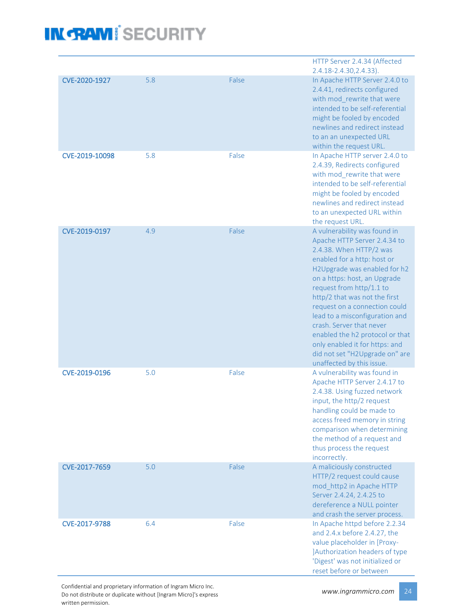|                |     |       | HTTP Server 2.4.34 (Affected<br>2.4.18-2.4.30, 2.4.33).                                                                                                                                                                                                                                                                                                                                                                                                                                |
|----------------|-----|-------|----------------------------------------------------------------------------------------------------------------------------------------------------------------------------------------------------------------------------------------------------------------------------------------------------------------------------------------------------------------------------------------------------------------------------------------------------------------------------------------|
| CVE-2020-1927  | 5.8 | False | In Apache HTTP Server 2.4.0 to<br>2.4.41, redirects configured<br>with mod rewrite that were<br>intended to be self-referential<br>might be fooled by encoded<br>newlines and redirect instead<br>to an an unexpected URL<br>within the request URL.                                                                                                                                                                                                                                   |
| CVE-2019-10098 | 5.8 | False | In Apache HTTP server 2.4.0 to<br>2.4.39, Redirects configured<br>with mod rewrite that were<br>intended to be self-referential<br>might be fooled by encoded<br>newlines and redirect instead<br>to an unexpected URL within<br>the request URL.                                                                                                                                                                                                                                      |
| CVE-2019-0197  | 4.9 | False | A vulnerability was found in<br>Apache HTTP Server 2.4.34 to<br>2.4.38. When HTTP/2 was<br>enabled for a http: host or<br>H2Upgrade was enabled for h2<br>on a https: host, an Upgrade<br>request from http/1.1 to<br>http/2 that was not the first<br>request on a connection could<br>lead to a misconfiguration and<br>crash. Server that never<br>enabled the h2 protocol or that<br>only enabled it for https: and<br>did not set "H2Upgrade on" are<br>unaffected by this issue. |
| CVE-2019-0196  | 5.0 | False | A vulnerability was found in<br>Apache HTTP Server 2.4.17 to<br>2.4.38. Using fuzzed network<br>input, the http/2 request<br>handling could be made to<br>access freed memory in string<br>comparison when determining<br>the method of a request and<br>thus process the request<br>incorrectly.                                                                                                                                                                                      |
| CVE-2017-7659  | 5.0 | False | A maliciously constructed<br>HTTP/2 request could cause<br>mod_http2 in Apache HTTP<br>Server 2.4.24, 2.4.25 to<br>dereference a NULL pointer<br>and crash the server process.                                                                                                                                                                                                                                                                                                         |
| CVE-2017-9788  | 6.4 | False | In Apache httpd before 2.2.34<br>and 2.4.x before 2.4.27, the<br>value placeholder in [Proxy-<br>JAuthorization headers of type<br>'Digest' was not initialized or<br>reset before or between                                                                                                                                                                                                                                                                                          |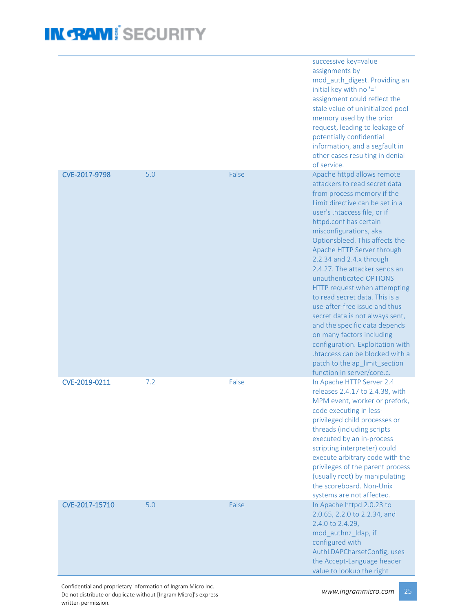|                |     |       | successive key=value<br>assignments by<br>mod_auth_digest. Providing an<br>initial key with no '='<br>assignment could reflect the<br>stale value of uninitialized pool<br>memory used by the prior<br>request, leading to leakage of<br>potentially confidential<br>information, and a segfault in<br>other cases resulting in denial<br>of service.                                                                                                                                                                                                                                                                                                                                                             |
|----------------|-----|-------|-------------------------------------------------------------------------------------------------------------------------------------------------------------------------------------------------------------------------------------------------------------------------------------------------------------------------------------------------------------------------------------------------------------------------------------------------------------------------------------------------------------------------------------------------------------------------------------------------------------------------------------------------------------------------------------------------------------------|
| CVE-2017-9798  | 5.0 | False | Apache httpd allows remote<br>attackers to read secret data<br>from process memory if the<br>Limit directive can be set in a<br>user's .htaccess file, or if<br>httpd.conf has certain<br>misconfigurations, aka<br>Optionsbleed. This affects the<br>Apache HTTP Server through<br>2.2.34 and 2.4.x through<br>2.4.27. The attacker sends an<br>unauthenticated OPTIONS<br>HTTP request when attempting<br>to read secret data. This is a<br>use-after-free issue and thus<br>secret data is not always sent,<br>and the specific data depends<br>on many factors including<br>configuration. Exploitation with<br>htaccess can be blocked with a<br>patch to the ap_limit_section<br>function in server/core.c. |
| CVE-2019-0211  | 7.2 | False | In Apache HTTP Server 2.4<br>releases 2.4.17 to 2.4.38, with<br>MPM event, worker or prefork,<br>code executing in less-<br>privileged child processes or<br>threads (including scripts<br>executed by an in-process<br>scripting interpreter) could<br>execute arbitrary code with the<br>privileges of the parent process<br>(usually root) by manipulating<br>the scoreboard. Non-Unix<br>systems are not affected.                                                                                                                                                                                                                                                                                            |
| CVE-2017-15710 | 5.0 | False | In Apache httpd 2.0.23 to<br>2.0.65, 2.2.0 to 2.2.34, and<br>2.4.0 to 2.4.29,<br>mod_authnz_ldap, if<br>configured with<br>AuthLDAPCharsetConfig, uses<br>the Accept-Language header<br>value to lookup the right                                                                                                                                                                                                                                                                                                                                                                                                                                                                                                 |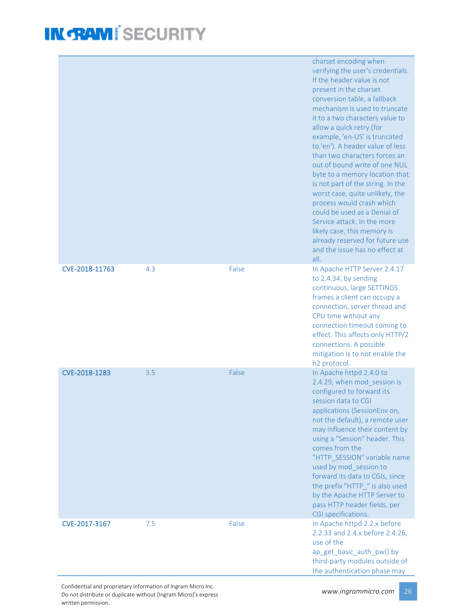|                |     |       | charset encoding when<br>verifying the user's credentials.<br>If the header value is not<br>present in the charset<br>conversion table, a fallback<br>mechanism is used to truncate<br>it to a two characters value to<br>allow a quick retry (for<br>example, 'en-US' is truncated<br>to 'en'). A header value of less<br>than two characters forces an<br>out of bound write of one NUL<br>byte to a memory location that<br>is not part of the string. In the<br>worst case, quite unlikely, the<br>process would crash which<br>could be used as a Denial of<br>Service attack. In the more<br>likely case, this memory is<br>already reserved for future use<br>and the issue has no effect at<br>all. |
|----------------|-----|-------|-------------------------------------------------------------------------------------------------------------------------------------------------------------------------------------------------------------------------------------------------------------------------------------------------------------------------------------------------------------------------------------------------------------------------------------------------------------------------------------------------------------------------------------------------------------------------------------------------------------------------------------------------------------------------------------------------------------|
| CVE-2018-11763 | 4.3 | False | In Apache HTTP Server 2.4.17<br>to 2.4.34, by sending<br>continuous, large SETTINGS<br>frames a client can occupy a<br>connection, server thread and<br>CPU time without any<br>connection timeout coming to<br>effect. This affects only HTTP/2<br>connections. A possible<br>mitigation is to not enable the<br>h <sub>2</sub> protocol.                                                                                                                                                                                                                                                                                                                                                                  |
| CVE-2018-1283  | 3.5 | False | In Apache httpd 2.4.0 to<br>2.4.29, when mod_session is<br>configured to forward its<br>session data to CGI<br>applications (SessionEnv on,<br>not the default), a remote user<br>may influence their content by<br>using a "Session" header. This<br>comes from the<br>"HTTP SESSION" variable name<br>used by mod_session to<br>forward its data to CGIs, since<br>the prefix "HTTP_" is also used<br>by the Apache HTTP Server to<br>pass HTTP header fields, per<br>CGI specifications.                                                                                                                                                                                                                 |
| CVE-2017-3167  | 7.5 | False | In Apache httpd 2.2.x before<br>2.2.33 and 2.4.x before 2.4.26,<br>use of the<br>ap_get_basic_auth_pw() by<br>third-party modules outside of<br>the authentication phase may                                                                                                                                                                                                                                                                                                                                                                                                                                                                                                                                |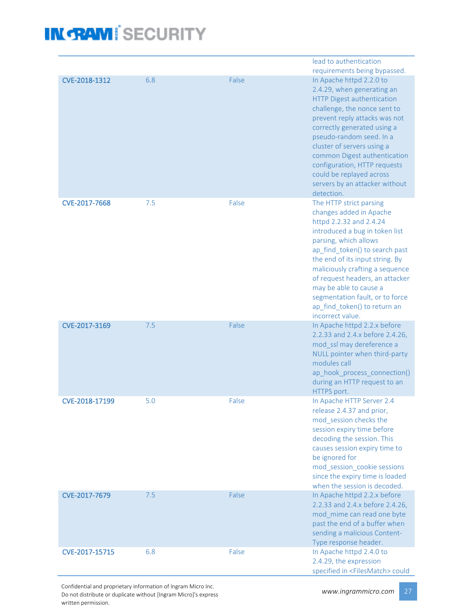|                |     |       | lead to authentication                                          |
|----------------|-----|-------|-----------------------------------------------------------------|
|                |     |       | requirements being bypassed.                                    |
| CVE-2018-1312  | 6.8 | False | In Apache httpd 2.2.0 to                                        |
|                |     |       | 2.4.29, when generating an                                      |
|                |     |       | <b>HTTP Digest authentication</b>                               |
|                |     |       | challenge, the nonce sent to                                    |
|                |     |       | prevent reply attacks was not                                   |
|                |     |       | correctly generated using a                                     |
|                |     |       | pseudo-random seed. In a                                        |
|                |     |       | cluster of servers using a                                      |
|                |     |       | common Digest authentication                                    |
|                |     |       | configuration, HTTP requests<br>could be replayed across        |
|                |     |       | servers by an attacker without                                  |
|                |     |       | detection.                                                      |
| CVE-2017-7668  | 7.5 | False | The HTTP strict parsing                                         |
|                |     |       | changes added in Apache                                         |
|                |     |       | httpd 2.2.32 and 2.4.24                                         |
|                |     |       | introduced a bug in token list                                  |
|                |     |       | parsing, which allows                                           |
|                |     |       | ap_find_token() to search past                                  |
|                |     |       | the end of its input string. By                                 |
|                |     |       | maliciously crafting a sequence                                 |
|                |     |       | of request headers, an attacker                                 |
|                |     |       | may be able to cause a                                          |
|                |     |       | segmentation fault, or to force                                 |
|                |     |       | ap find token() to return an                                    |
| CVE-2017-3169  | 7.5 | False | incorrect value.                                                |
|                |     |       | In Apache httpd 2.2.x before<br>2.2.33 and 2.4.x before 2.4.26, |
|                |     |       | mod_ssl may dereference a                                       |
|                |     |       | NULL pointer when third-party                                   |
|                |     |       | modules call                                                    |
|                |     |       | ap hook process connection()                                    |
|                |     |       | during an HTTP request to an                                    |
|                |     |       | HTTPS port.                                                     |
| CVE-2018-17199 | 5.0 | False | In Apache HTTP Server 2.4                                       |
|                |     |       | release 2.4.37 and prior,                                       |
|                |     |       | mod session checks the                                          |
|                |     |       | session expiry time before                                      |
|                |     |       | decoding the session. This                                      |
|                |     |       | causes session expiry time to                                   |
|                |     |       | be ignored for<br>mod session cookie sessions                   |
|                |     |       | since the expiry time is loaded                                 |
|                |     |       | when the session is decoded.                                    |
| CVE-2017-7679  | 7.5 | False | In Apache httpd 2.2.x before                                    |
|                |     |       | 2.2.33 and 2.4.x before 2.4.26,                                 |
|                |     |       | mod_mime can read one byte                                      |
|                |     |       | past the end of a buffer when                                   |
|                |     |       | sending a malicious Content-                                    |
|                |     |       | Type response header.                                           |
| CVE-2017-15715 | 6.8 | False | In Apache httpd 2.4.0 to                                        |
|                |     |       | 2.4.29, the expression                                          |
|                |     |       | specified in <filesmatch> could</filesmatch>                    |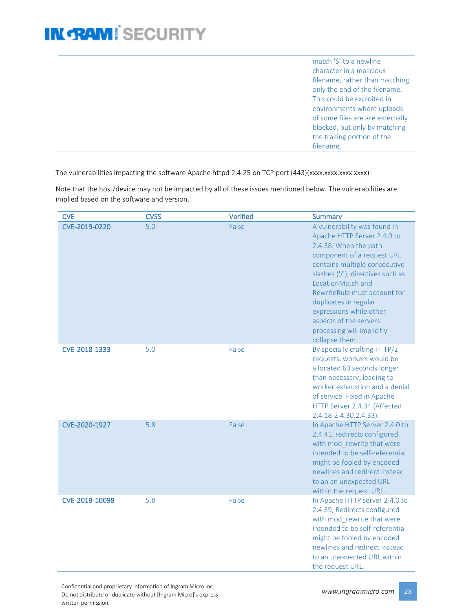match '\$' to a newline character in a malicious filename, rather than matching only the end of the filename. This could be exploited in environments where uploads of some files are are externally blocked, but only by matching the trailing portion of the filename.

The vulnerabilities impacting the software Apache httpd 2.4.25 on TCP port (443)(xxxx.xxxx.xxxx.xxxx)

Note that the host/device may not be impacted by all of these issues mentioned below. The vulnerabilities are implied based on the software and version.

| <b>CVE</b>     | <b>CVSS</b> | <b>Verified</b> | <b>Summary</b>                                                                                                                                                                                                                                                                                                                                                              |
|----------------|-------------|-----------------|-----------------------------------------------------------------------------------------------------------------------------------------------------------------------------------------------------------------------------------------------------------------------------------------------------------------------------------------------------------------------------|
| CVE-2019-0220  | 5.0         | False           | A vulnerability was found in<br>Apache HTTP Server 2.4.0 to<br>2.4.38. When the path<br>component of a request URL<br>contains multiple consecutive<br>slashes ('/'), directives such as<br>LocationMatch and<br>RewriteRule must account for<br>duplicates in regular<br>expressions while other<br>aspects of the servers<br>processing will implicitly<br>collapse them. |
| CVE-2018-1333  | 5.0         | False           | By specially crafting HTTP/2<br>requests, workers would be<br>allocated 60 seconds longer<br>than necessary, leading to<br>worker exhaustion and a denial<br>of service. Fixed in Apache<br>HTTP Server 2.4.34 (Affected<br>2.4.18-2.4.30, 2.4.33).                                                                                                                         |
| CVE-2020-1927  | 5.8         | False           | In Apache HTTP Server 2.4.0 to<br>2.4.41, redirects configured<br>with mod rewrite that were<br>intended to be self-referential<br>might be fooled by encoded<br>newlines and redirect instead<br>to an an unexpected URL<br>within the request URL.                                                                                                                        |
| CVE-2019-10098 | 5.8         | False           | In Apache HTTP server 2.4.0 to<br>2.4.39, Redirects configured<br>with mod rewrite that were<br>intended to be self-referential<br>might be fooled by encoded<br>newlines and redirect instead<br>to an unexpected URL within<br>the request URL.                                                                                                                           |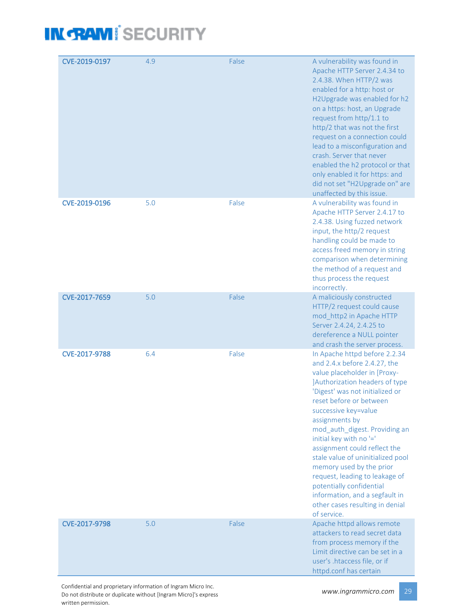| CVE-2019-0197 | 4.9 | False | A vulnerability was found in<br>Apache HTTP Server 2.4.34 to<br>2.4.38. When HTTP/2 was<br>enabled for a http: host or<br>H2Upgrade was enabled for h2<br>on a https: host, an Upgrade<br>request from http/1.1 to<br>http/2 that was not the first<br>request on a connection could<br>lead to a misconfiguration and<br>crash. Server that never<br>enabled the h2 protocol or that<br>only enabled it for https: and<br>did not set "H2Upgrade on" are<br>unaffected by this issue.                                                                 |
|---------------|-----|-------|--------------------------------------------------------------------------------------------------------------------------------------------------------------------------------------------------------------------------------------------------------------------------------------------------------------------------------------------------------------------------------------------------------------------------------------------------------------------------------------------------------------------------------------------------------|
| CVE-2019-0196 | 5.0 | False | A vulnerability was found in<br>Apache HTTP Server 2.4.17 to<br>2.4.38. Using fuzzed network<br>input, the http/2 request<br>handling could be made to<br>access freed memory in string<br>comparison when determining<br>the method of a request and<br>thus process the request<br>incorrectly.                                                                                                                                                                                                                                                      |
| CVE-2017-7659 | 5.0 | False | A maliciously constructed<br>HTTP/2 request could cause<br>mod_http2 in Apache HTTP<br>Server 2.4.24, 2.4.25 to<br>dereference a NULL pointer<br>and crash the server process.                                                                                                                                                                                                                                                                                                                                                                         |
| CVE-2017-9788 | 6.4 | False | In Apache httpd before 2.2.34<br>and 2.4.x before 2.4.27, the<br>value placeholder in [Proxy-<br>JAuthorization headers of type<br>'Digest' was not initialized or<br>reset before or between<br>successive key=value<br>assignments by<br>mod_auth_digest. Providing an<br>initial key with no '='<br>assignment could reflect the<br>stale value of uninitialized pool<br>memory used by the prior<br>request, leading to leakage of<br>potentially confidential<br>information, and a segfault in<br>other cases resulting in denial<br>of service. |
| CVE-2017-9798 | 5.0 | False | Apache httpd allows remote<br>attackers to read secret data<br>from process memory if the<br>Limit directive can be set in a<br>user's .htaccess file, or if<br>httpd.conf has certain                                                                                                                                                                                                                                                                                                                                                                 |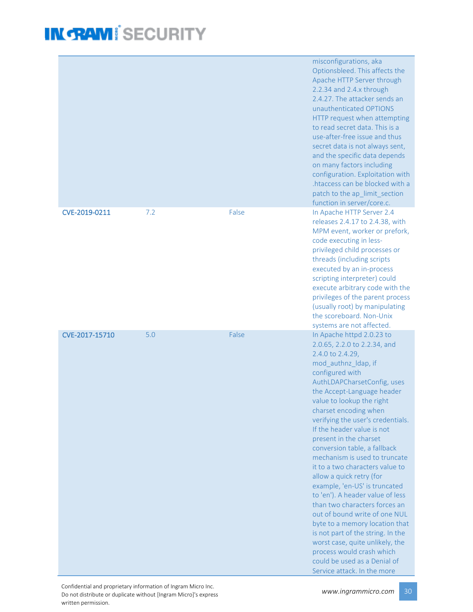|                |     |       | misconfigurations, aka<br>Optionsbleed. This affects the<br>Apache HTTP Server through<br>2.2.34 and 2.4.x through<br>2.4.27. The attacker sends an<br>unauthenticated OPTIONS<br>HTTP request when attempting<br>to read secret data. This is a<br>use-after-free issue and thus<br>secret data is not always sent,<br>and the specific data depends<br>on many factors including<br>configuration. Exploitation with<br>.htaccess can be blocked with a<br>patch to the ap_limit_section<br>function in server/core.c.                                                                                                                                                                                                                                                                                             |
|----------------|-----|-------|----------------------------------------------------------------------------------------------------------------------------------------------------------------------------------------------------------------------------------------------------------------------------------------------------------------------------------------------------------------------------------------------------------------------------------------------------------------------------------------------------------------------------------------------------------------------------------------------------------------------------------------------------------------------------------------------------------------------------------------------------------------------------------------------------------------------|
| CVE-2019-0211  | 7.2 | False | In Apache HTTP Server 2.4<br>releases 2.4.17 to 2.4.38, with<br>MPM event, worker or prefork,<br>code executing in less-<br>privileged child processes or<br>threads (including scripts<br>executed by an in-process<br>scripting interpreter) could<br>execute arbitrary code with the<br>privileges of the parent process<br>(usually root) by manipulating<br>the scoreboard. Non-Unix<br>systems are not affected.                                                                                                                                                                                                                                                                                                                                                                                               |
| CVE-2017-15710 | 5.0 | False | In Apache httpd 2.0.23 to<br>2.0.65, 2.2.0 to 2.2.34, and<br>2.4.0 to 2.4.29,<br>mod_authnz_ldap, if<br>configured with<br>AuthLDAPCharsetConfig, uses<br>the Accept-Language header<br>value to lookup the right<br>charset encoding when<br>verifying the user's credentials.<br>If the header value is not<br>present in the charset<br>conversion table, a fallback<br>mechanism is used to truncate<br>it to a two characters value to<br>allow a quick retry (for<br>example, 'en-US' is truncated<br>to 'en'). A header value of less<br>than two characters forces an<br>out of bound write of one NUL<br>byte to a memory location that<br>is not part of the string. In the<br>worst case, quite unlikely, the<br>process would crash which<br>could be used as a Denial of<br>Service attack. In the more |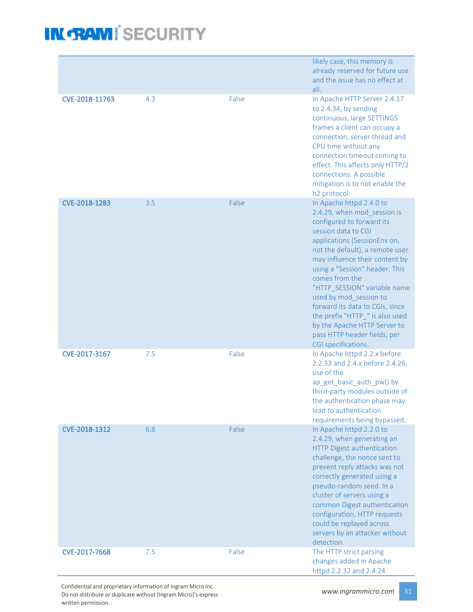|                |     |       | likely case, this memory is<br>already reserved for future use<br>and the issue has no effect at<br>all.                                                                                                                                                                                                                                                                                                                                                                                    |
|----------------|-----|-------|---------------------------------------------------------------------------------------------------------------------------------------------------------------------------------------------------------------------------------------------------------------------------------------------------------------------------------------------------------------------------------------------------------------------------------------------------------------------------------------------|
| CVE-2018-11763 | 4.3 | False | In Apache HTTP Server 2.4.17<br>to 2.4.34, by sending<br>continuous, large SETTINGS<br>frames a client can occupy a<br>connection, server thread and<br>CPU time without any<br>connection timeout coming to<br>effect. This affects only HTTP/2<br>connections. A possible<br>mitigation is to not enable the<br>h <sub>2</sub> protocol.                                                                                                                                                  |
| CVE-2018-1283  | 3.5 | False | In Apache httpd 2.4.0 to<br>2.4.29, when mod_session is<br>configured to forward its<br>session data to CGI<br>applications (SessionEnv on,<br>not the default), a remote user<br>may influence their content by<br>using a "Session" header. This<br>comes from the<br>"HTTP_SESSION" variable name<br>used by mod_session to<br>forward its data to CGIs, since<br>the prefix "HTTP_" is also used<br>by the Apache HTTP Server to<br>pass HTTP header fields, per<br>CGI specifications. |
| CVE-2017-3167  | 7.5 | False | In Apache httpd 2.2.x before<br>2.2.33 and 2.4.x before 2.4.26,<br>use of the<br>ap_get_basic_auth_pw() by<br>third-party modules outside of<br>the authentication phase may<br>lead to authentication<br>requirements being bypassed.                                                                                                                                                                                                                                                      |
| CVE-2018-1312  | 6.8 | False | In Apache httpd 2.2.0 to<br>2.4.29, when generating an<br>HTTP Digest authentication<br>challenge, the nonce sent to<br>prevent reply attacks was not<br>correctly generated using a<br>pseudo-random seed. In a<br>cluster of servers using a<br>common Digest authentication<br>configuration, HTTP requests<br>could be replayed across<br>servers by an attacker without<br>detection.                                                                                                  |
| CVE-2017-7668  | 7.5 | False | The HTTP strict parsing<br>changes added in Apache<br>httpd 2.2.32 and 2.4.24                                                                                                                                                                                                                                                                                                                                                                                                               |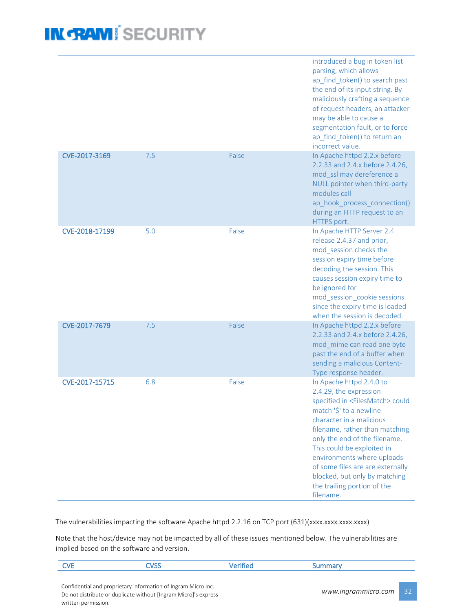|                |     |       | introduced a bug in token list<br>parsing, which allows<br>ap_find_token() to search past<br>the end of its input string. By<br>maliciously crafting a sequence<br>of request headers, an attacker<br>may be able to cause a<br>segmentation fault, or to force<br>ap find_token() to return an<br>incorrect value.                                                                                                 |
|----------------|-----|-------|---------------------------------------------------------------------------------------------------------------------------------------------------------------------------------------------------------------------------------------------------------------------------------------------------------------------------------------------------------------------------------------------------------------------|
| CVE-2017-3169  | 7.5 | False | In Apache httpd 2.2.x before<br>2.2.33 and 2.4.x before 2.4.26,<br>mod_ssl may dereference a<br>NULL pointer when third-party<br>modules call<br>ap_hook_process_connection()<br>during an HTTP request to an<br>HTTPS port.                                                                                                                                                                                        |
| CVE-2018-17199 | 5.0 | False | In Apache HTTP Server 2.4<br>release 2.4.37 and prior,<br>mod session checks the<br>session expiry time before<br>decoding the session. This<br>causes session expiry time to<br>be ignored for<br>mod_session_cookie sessions<br>since the expiry time is loaded<br>when the session is decoded.                                                                                                                   |
| CVE-2017-7679  | 7.5 | False | In Apache httpd 2.2.x before<br>2.2.33 and 2.4.x before 2.4.26,<br>mod_mime can read one byte<br>past the end of a buffer when<br>sending a malicious Content-<br>Type response header.                                                                                                                                                                                                                             |
| CVE-2017-15715 | 6.8 | False | In Apache httpd 2.4.0 to<br>2.4.29, the expression<br>specified in <filesmatch> could<br/>match '\$' to a newline<br/>character in a malicious<br/>filename, rather than matching<br/>only the end of the filename.<br/>This could be exploited in<br/>environments where uploads<br/>of some files are are externally<br/>blocked, but only by matching<br/>the trailing portion of the<br/>filename.</filesmatch> |

The vulnerabilities impacting the software Apache httpd 2.2.16 on TCP port (631)(xxxx.xxxx.xxxx.xxxx)

Note that the host/device may not be impacted by all of these issues mentioned below. The vulnerabilities are implied based on the software and version.

| <b>CVE</b>                                                      | CVSS                                                          | Verified | Summary             |                 |
|-----------------------------------------------------------------|---------------------------------------------------------------|----------|---------------------|-----------------|
|                                                                 |                                                               |          |                     |                 |
|                                                                 | Confidential and proprietary information of Ingram Micro Inc. |          | www.ingrammicro.com | 32 <sub>1</sub> |
| Do not distribute or duplicate without [Ingram Micro]'s express |                                                               |          |                     |                 |
| written permission.                                             |                                                               |          |                     |                 |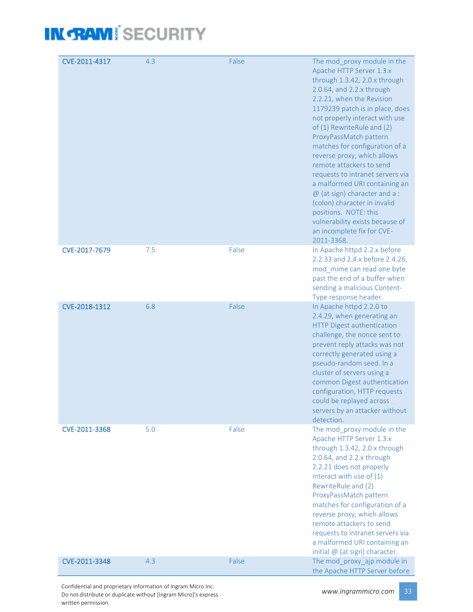| CVE-2011-4317 | 4.3 | False | The mod_proxy module in the<br>Apache HTTP Server 1.3.x<br>through 1.3.42, 2.0.x through<br>2.0.64, and 2.2.x through<br>2.2.21, when the Revision<br>1179239 patch is in place, does<br>not properly interact with use<br>of (1) RewriteRule and (2)<br>ProxyPassMatch pattern<br>matches for configuration of a<br>reverse proxy, which allows<br>remote attackers to send<br>requests to intranet servers via<br>a malformed URI containing an<br>$@$ (at sign) character and a :<br>(colon) character in invalid<br>positions. NOTE: this<br>vulnerability exists because of<br>an incomplete fix for CVE-<br>2011-3368. |
|---------------|-----|-------|------------------------------------------------------------------------------------------------------------------------------------------------------------------------------------------------------------------------------------------------------------------------------------------------------------------------------------------------------------------------------------------------------------------------------------------------------------------------------------------------------------------------------------------------------------------------------------------------------------------------------|
| CVE-2017-7679 | 7.5 | False | In Apache httpd 2.2.x before<br>2.2.33 and 2.4.x before 2.4.26,<br>mod_mime can read one byte<br>past the end of a buffer when<br>sending a malicious Content-<br>Type response header.                                                                                                                                                                                                                                                                                                                                                                                                                                      |
| CVE-2018-1312 | 6.8 | False | In Apache httpd 2.2.0 to<br>2.4.29, when generating an<br>HTTP Digest authentication<br>challenge, the nonce sent to<br>prevent reply attacks was not<br>correctly generated using a<br>pseudo-random seed. In a<br>cluster of servers using a<br>common Digest authentication<br>configuration, HTTP requests<br>could be replayed across<br>servers by an attacker without<br>detection.                                                                                                                                                                                                                                   |
| CVE-2011-3368 | 5.0 | False | The mod proxy module in the<br>Apache HTTP Server 1.3.x<br>through 1.3.42, 2.0.x through<br>2.0.64, and 2.2.x through<br>2.2.21 does not properly<br>interact with use of (1)<br>RewriteRule and (2)<br>ProxyPassMatch pattern<br>matches for configuration of a<br>reverse proxy, which allows<br>remote attackers to send<br>requests to intranet servers via<br>a malformed URI containing an<br>initial $@$ (at sign) character.                                                                                                                                                                                         |
| CVE-2011-3348 | 4.3 | False | The mod_proxy_ajp module in<br>the Apache HTTP Server before                                                                                                                                                                                                                                                                                                                                                                                                                                                                                                                                                                 |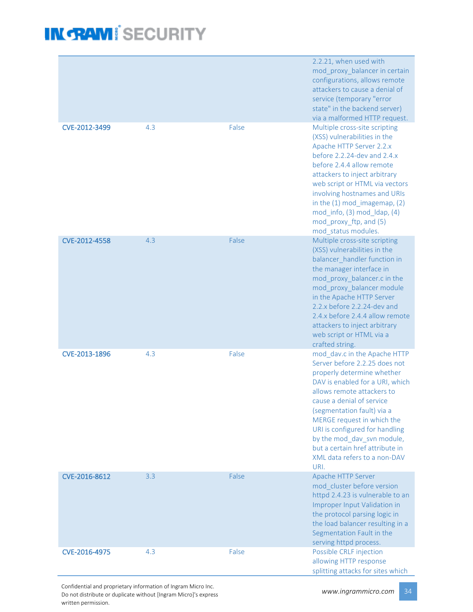|               |     |       | 2.2.21, when used with<br>mod proxy_balancer in certain<br>configurations, allows remote<br>attackers to cause a denial of<br>service (temporary "error<br>state" in the backend server)<br>via a malformed HTTP request.                                                                                                                                                                        |
|---------------|-----|-------|--------------------------------------------------------------------------------------------------------------------------------------------------------------------------------------------------------------------------------------------------------------------------------------------------------------------------------------------------------------------------------------------------|
| CVE-2012-3499 | 4.3 | False | Multiple cross-site scripting<br>(XSS) vulnerabilities in the<br>Apache HTTP Server 2.2.x<br>before $2.2.24$ -dev and $2.4.x$<br>before 2.4.4 allow remote<br>attackers to inject arbitrary<br>web script or HTML via vectors<br>involving hostnames and URIs<br>in the $(1)$ mod_imagemap, $(2)$<br>mod_info, (3) mod_ldap, (4)<br>mod_proxy_ftp, and (5)<br>mod_status modules.                |
| CVE-2012-4558 | 4.3 | False | Multiple cross-site scripting<br>(XSS) vulnerabilities in the<br>balancer handler function in<br>the manager interface in<br>mod_proxy_balancer.c in the<br>mod_proxy_balancer module<br>in the Apache HTTP Server<br>2.2.x before 2.2.24-dev and<br>2.4.x before 2.4.4 allow remote<br>attackers to inject arbitrary<br>web script or HTML via a<br>crafted string.                             |
| CVE-2013-1896 | 4.3 | False | mod dav.c in the Apache HTTP<br>Server before 2.2.25 does not<br>properly determine whether<br>DAV is enabled for a URI, which<br>allows remote attackers to<br>cause a denial of service<br>(segmentation fault) via a<br>MERGE request in which the<br>URI is configured for handling<br>by the mod dav svn module,<br>but a certain href attribute in<br>XML data refers to a non-DAV<br>URI. |
| CVE-2016-8612 | 3.3 | False | Apache HTTP Server<br>mod cluster before version<br>httpd 2.4.23 is vulnerable to an<br>Improper Input Validation in<br>the protocol parsing logic in<br>the load balancer resulting in a<br>Segmentation Fault in the<br>serving httpd process.                                                                                                                                                 |
| CVE-2016-4975 | 4.3 | False | Possible CRLF injection<br>allowing HTTP response<br>splitting attacks for sites which                                                                                                                                                                                                                                                                                                           |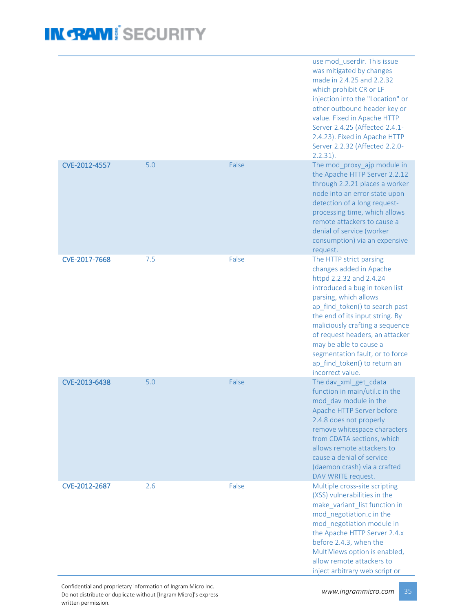|               |     |       | use mod_userdir. This issue<br>was mitigated by changes<br>made in 2.4.25 and 2.2.32<br>which prohibit CR or LF<br>injection into the "Location" or<br>other outbound header key or<br>value. Fixed in Apache HTTP<br>Server 2.4.25 (Affected 2.4.1-<br>2.4.23). Fixed in Apache HTTP<br>Server 2.2.32 (Affected 2.2.0-<br>$2.2.31$ ).                                                               |
|---------------|-----|-------|------------------------------------------------------------------------------------------------------------------------------------------------------------------------------------------------------------------------------------------------------------------------------------------------------------------------------------------------------------------------------------------------------|
| CVE-2012-4557 | 5.0 | False | The mod_proxy_ajp module in<br>the Apache HTTP Server 2.2.12<br>through 2.2.21 places a worker<br>node into an error state upon<br>detection of a long request-<br>processing time, which allows<br>remote attackers to cause a<br>denial of service (worker<br>consumption) via an expensive<br>request.                                                                                            |
| CVE-2017-7668 | 7.5 | False | The HTTP strict parsing<br>changes added in Apache<br>httpd 2.2.32 and 2.4.24<br>introduced a bug in token list<br>parsing, which allows<br>ap_find_token() to search past<br>the end of its input string. By<br>maliciously crafting a sequence<br>of request headers, an attacker<br>may be able to cause a<br>segmentation fault, or to force<br>ap find token() to return an<br>incorrect value. |
| CVE-2013-6438 | 5.0 | False | The dav_xml_get_cdata<br>function in main/util.c in the<br>mod dav module in the<br>Apache HTTP Server before<br>2.4.8 does not properly<br>remove whitespace characters<br>from CDATA sections, which<br>allows remote attackers to<br>cause a denial of service<br>(daemon crash) via a crafted<br>DAV WRITE request.                                                                              |
| CVE-2012-2687 | 2.6 | False | Multiple cross-site scripting<br>(XSS) vulnerabilities in the<br>make_variant_list function in<br>mod_negotiation.c in the<br>mod_negotiation module in<br>the Apache HTTP Server 2.4.x<br>before 2.4.3, when the<br>MultiViews option is enabled,<br>allow remote attackers to<br>inject arbitrary web script or                                                                                    |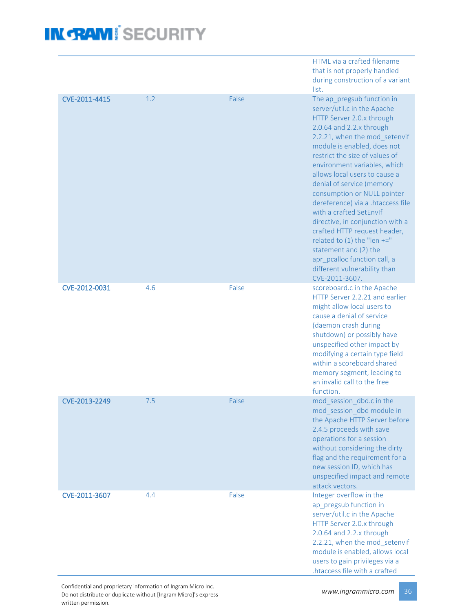|               |     |       | HTML via a crafted filename<br>that is not properly handled<br>during construction of a variant<br>list.                                                                                                                                                                                                                                                                                                                                                                                                                                                                                                                          |
|---------------|-----|-------|-----------------------------------------------------------------------------------------------------------------------------------------------------------------------------------------------------------------------------------------------------------------------------------------------------------------------------------------------------------------------------------------------------------------------------------------------------------------------------------------------------------------------------------------------------------------------------------------------------------------------------------|
| CVE-2011-4415 | 1.2 | False | The ap pregsub function in<br>server/util.c in the Apache<br>HTTP Server 2.0.x through<br>2.0.64 and 2.2.x through<br>2.2.21, when the mod_setenvif<br>module is enabled, does not<br>restrict the size of values of<br>environment variables, which<br>allows local users to cause a<br>denial of service (memory<br>consumption or NULL pointer<br>dereference) via a .htaccess file<br>with a crafted SetEnvIf<br>directive, in conjunction with a<br>crafted HTTP request header,<br>related to $(1)$ the "len +="<br>statement and (2) the<br>apr_pcalloc function call, a<br>different vulnerability than<br>CVE-2011-3607. |
| CVE-2012-0031 | 4.6 | False | scoreboard.c in the Apache<br>HTTP Server 2.2.21 and earlier<br>might allow local users to<br>cause a denial of service<br>(daemon crash during<br>shutdown) or possibly have<br>unspecified other impact by<br>modifying a certain type field<br>within a scoreboard shared<br>memory segment, leading to<br>an invalid call to the free<br>function.                                                                                                                                                                                                                                                                            |
| CVE-2013-2249 | 7.5 | False | mod session dbd.c in the<br>mod_session_dbd module in<br>the Apache HTTP Server before<br>2.4.5 proceeds with save<br>operations for a session<br>without considering the dirty<br>flag and the requirement for a<br>new session ID, which has<br>unspecified impact and remote<br>attack vectors.                                                                                                                                                                                                                                                                                                                                |
| CVE-2011-3607 | 4.4 | False | Integer overflow in the<br>ap_pregsub function in<br>server/util.c in the Apache<br>HTTP Server 2.0.x through<br>2.0.64 and 2.2.x through<br>2.2.21, when the mod_setenvif<br>module is enabled, allows local<br>users to gain privileges via a<br>htaccess file with a crafted                                                                                                                                                                                                                                                                                                                                                   |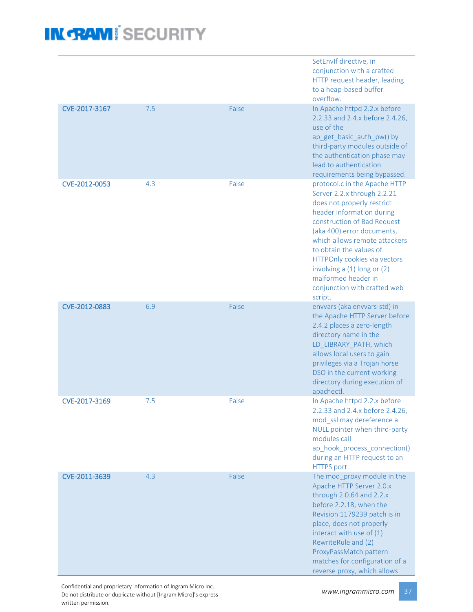|               |     |       | SetEnvIf directive, in<br>conjunction with a crafted<br>HTTP request header, leading<br>to a heap-based buffer<br>overflow.                                                                                                                                                                                                                                                       |
|---------------|-----|-------|-----------------------------------------------------------------------------------------------------------------------------------------------------------------------------------------------------------------------------------------------------------------------------------------------------------------------------------------------------------------------------------|
| CVE-2017-3167 | 7.5 | False | In Apache httpd 2.2.x before<br>2.2.33 and 2.4.x before 2.4.26,<br>use of the<br>ap_get_basic_auth_pw() by<br>third-party modules outside of<br>the authentication phase may<br>lead to authentication<br>requirements being bypassed.                                                                                                                                            |
| CVE-2012-0053 | 4.3 | False | protocol.c in the Apache HTTP<br>Server 2.2.x through 2.2.21<br>does not properly restrict<br>header information during<br>construction of Bad Request<br>(aka 400) error documents,<br>which allows remote attackers<br>to obtain the values of<br>HTTPOnly cookies via vectors<br>involving a (1) long or (2)<br>malformed header in<br>conjunction with crafted web<br>script. |
| CVE-2012-0883 | 6.9 | False | envvars (aka envvars-std) in<br>the Apache HTTP Server before<br>2.4.2 places a zero-length<br>directory name in the<br>LD_LIBRARY_PATH, which<br>allows local users to gain<br>privileges via a Trojan horse<br>DSO in the current working<br>directory during execution of<br>apachectl.                                                                                        |
| CVE-2017-3169 | 7.5 | False | In Apache httpd 2.2.x before<br>2.2.33 and 2.4.x before 2.4.26,<br>mod ssl may dereference a<br>NULL pointer when third-party<br>modules call<br>ap_hook_process_connection()<br>during an HTTP request to an<br>HTTPS port.                                                                                                                                                      |
| CVE-2011-3639 | 4.3 | False | The mod_proxy module in the<br>Apache HTTP Server 2.0.x<br>through 2.0.64 and 2.2.x<br>before 2.2.18, when the<br>Revision 1179239 patch is in<br>place, does not properly<br>interact with use of (1)<br>RewriteRule and (2)<br>ProxyPassMatch pattern<br>matches for configuration of a<br>reverse proxy, which allows                                                          |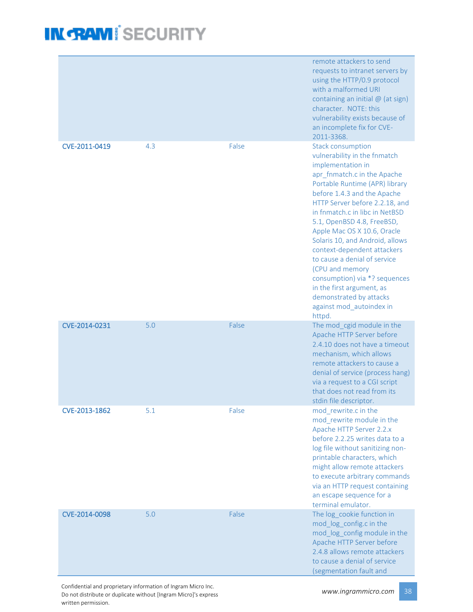|               |     |       | remote attackers to send<br>requests to intranet servers by<br>using the HTTP/0.9 protocol<br>with a malformed URI<br>containing an initial @ (at sign)<br>character. NOTE: this<br>vulnerability exists because of<br>an incomplete fix for CVE-<br>2011-3368.                                                                                                                                                                                                                                                                                                    |
|---------------|-----|-------|--------------------------------------------------------------------------------------------------------------------------------------------------------------------------------------------------------------------------------------------------------------------------------------------------------------------------------------------------------------------------------------------------------------------------------------------------------------------------------------------------------------------------------------------------------------------|
| CVE-2011-0419 | 4.3 | False | <b>Stack consumption</b><br>vulnerability in the fnmatch<br>implementation in<br>apr_fnmatch.c in the Apache<br>Portable Runtime (APR) library<br>before 1.4.3 and the Apache<br>HTTP Server before 2.2.18, and<br>in fnmatch.c in libc in NetBSD<br>5.1, OpenBSD 4.8, FreeBSD,<br>Apple Mac OS X 10.6, Oracle<br>Solaris 10, and Android, allows<br>context-dependent attackers<br>to cause a denial of service<br>(CPU and memory<br>consumption) via *? sequences<br>in the first argument, as<br>demonstrated by attacks<br>against mod_autoindex in<br>httpd. |
| CVE-2014-0231 | 5.0 | False | The mod_cgid module in the<br>Apache HTTP Server before<br>2.4.10 does not have a timeout<br>mechanism, which allows<br>remote attackers to cause a<br>denial of service (process hang)<br>via a request to a CGI script<br>that does not read from its<br>stdin file descriptor.                                                                                                                                                                                                                                                                                  |
| CVE-2013-1862 | 5.1 | False | mod_rewrite.c in the<br>mod rewrite module in the<br>Apache HTTP Server 2.2.x<br>before 2.2.25 writes data to a<br>log file without sanitizing non-<br>printable characters, which<br>might allow remote attackers<br>to execute arbitrary commands<br>via an HTTP request containing<br>an escape sequence for a<br>terminal emulator.                                                                                                                                                                                                                            |
| CVE-2014-0098 | 5.0 | False | The log_cookie function in<br>mod_log_config.c in the<br>mod_log_config module in the<br>Apache HTTP Server before<br>2.4.8 allows remote attackers<br>to cause a denial of service<br>(segmentation fault and                                                                                                                                                                                                                                                                                                                                                     |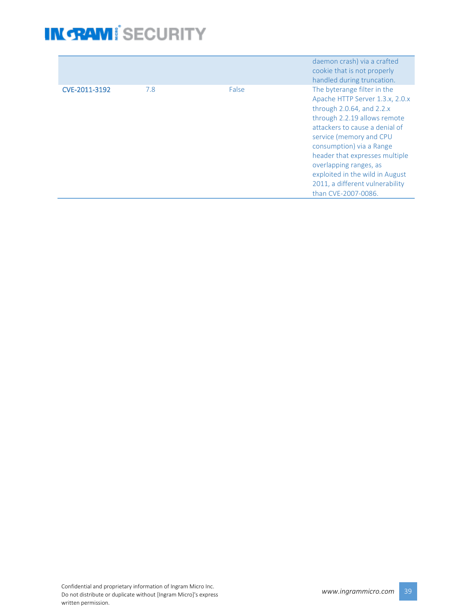|               |     |       | daemon crash) via a crafted<br>cookie that is not properly<br>handled during truncation.                                                                                                                                                                                                                                                                                           |
|---------------|-----|-------|------------------------------------------------------------------------------------------------------------------------------------------------------------------------------------------------------------------------------------------------------------------------------------------------------------------------------------------------------------------------------------|
| CVE-2011-3192 | 7.8 | False | The byterange filter in the<br>Apache HTTP Server 1.3.x, 2.0.x<br>through $2.0.64$ , and $2.2.x$<br>through 2.2.19 allows remote<br>attackers to cause a denial of<br>service (memory and CPU<br>consumption) via a Range<br>header that expresses multiple<br>overlapping ranges, as<br>exploited in the wild in August<br>2011, a different vulnerability<br>than CVE-2007-0086. |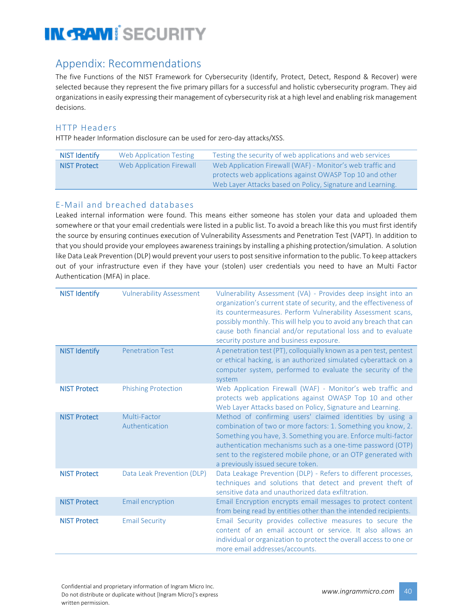### Appendix: Recommendations

The five Functions of the NIST Framework for Cybersecurity (Identify, Protect, Detect, Respond & Recover) were selected because they represent the five primary pillars for a successful and holistic cybersecurity program. They aid organizations in easily expressing their management of cybersecurity risk at a high level and enabling risk management decisions.

#### HTTP Headers

HTTP header Information disclosure can be used for zero-day attacks/XSS.

| NIST Identify       | Web Application Testing  | Testing the security of web applications and web services  |
|---------------------|--------------------------|------------------------------------------------------------|
| <b>NIST Protect</b> | Web Application Firewall | Web Application Firewall (WAF) - Monitor's web traffic and |
|                     |                          | protects web applications against OWASP Top 10 and other   |
|                     |                          | Web Layer Attacks based on Policy, Signature and Learning. |

#### E-Mail and breached databases

Leaked internal information were found. This means either someone has stolen your data and uploaded them somewhere or that your email credentials were listed in a public list. To avoid a breach like this you must first identify the source by ensuring continues execution of Vulnerability Assessments and Penetration Test (VAPT). In addition to that you should provide your employees awareness trainings by installing a phishing protection/simulation. A solution like Data Leak Prevention (DLP) would prevent your users to post sensitive information to the public. To keep attackers out of your infrastructure even if they have your (stolen) user credentials you need to have an Multi Factor Authentication (MFA) in place.

| <b>NIST Identify</b> | <b>Vulnerability Assessment</b> | Vulnerability Assessment (VA) - Provides deep insight into an<br>organization's current state of security, and the effectiveness of<br>its countermeasures. Perform Vulnerability Assessment scans,<br>possibly monthly. This will help you to avoid any breach that can<br>cause both financial and/or reputational loss and to evaluate<br>security posture and business exposure. |
|----------------------|---------------------------------|--------------------------------------------------------------------------------------------------------------------------------------------------------------------------------------------------------------------------------------------------------------------------------------------------------------------------------------------------------------------------------------|
| <b>NIST Identify</b> | <b>Penetration Test</b>         | A penetration test (PT), colloquially known as a pen test, pentest<br>or ethical hacking, is an authorized simulated cyberattack on a<br>computer system, performed to evaluate the security of the<br>system                                                                                                                                                                        |
| <b>NIST Protect</b>  | <b>Phishing Protection</b>      | Web Application Firewall (WAF) - Monitor's web traffic and<br>protects web applications against OWASP Top 10 and other<br>Web Layer Attacks based on Policy, Signature and Learning.                                                                                                                                                                                                 |
| <b>NIST Protect</b>  | Multi-Factor<br>Authentication  | Method of confirming users' claimed identities by using a<br>combination of two or more factors: 1. Something you know, 2.<br>Something you have, 3. Something you are. Enforce multi-factor<br>authentication mechanisms such as a one-time password (OTP)<br>sent to the registered mobile phone, or an OTP generated with<br>a previously issued secure token.                    |
| <b>NIST Protect</b>  | Data Leak Prevention (DLP)      | Data Leakage Prevention (DLP) - Refers to different processes,<br>techniques and solutions that detect and prevent theft of<br>sensitive data and unauthorized data exfiltration.                                                                                                                                                                                                    |
| <b>NIST Protect</b>  | <b>Email encryption</b>         | Email Encryption encrypts email messages to protect content<br>from being read by entities other than the intended recipients.                                                                                                                                                                                                                                                       |
| <b>NIST Protect</b>  | <b>Email Security</b>           | Email Security provides collective measures to secure the<br>content of an email account or service. It also allows an<br>individual or organization to protect the overall access to one or<br>more email addresses/accounts.                                                                                                                                                       |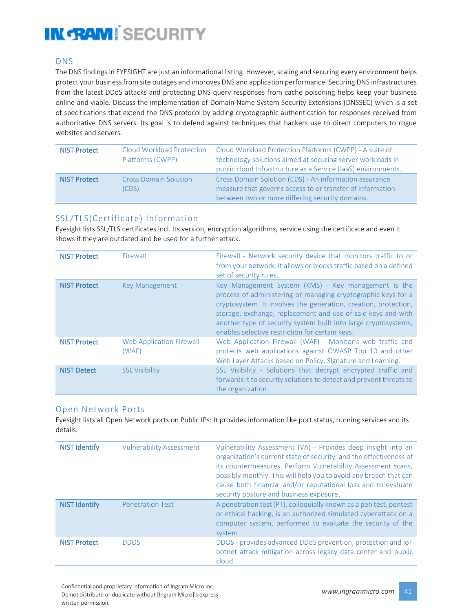#### DNS

The DNS findings in EYESIGHT are just an informational listing. However, scaling and securing every environment helps protect your business from site outages and improves DNS and application performance. Securing DNS infrastructures from the latest DDoS attacks and protecting DNS query responses from cache poisoning helps keep your business online and viable. Discuss the implementation of Domain Name System Security Extensions (DNSSEC) which is a set of specifications that extend the DNS protocol by adding cryptographic authentication for responses received from authoritative DNS servers. Its goal is to defend against techniques that hackers use to direct computers to rogue websites and servers.

| <b>NIST Protect</b> | <b>Cloud Workload Protection</b><br>Platforms (CWPP) | Cloud Workload Protection Platforms (CWPP) - A suite of<br>technology solutions aimed at securing server workloads in<br>public cloud Infrastructure as a Service (IaaS) environments. |
|---------------------|------------------------------------------------------|----------------------------------------------------------------------------------------------------------------------------------------------------------------------------------------|
| <b>NIST Protect</b> | <b>Cross Domain Solution</b><br>(CDS)                | Cross Domain Solution (CDS) - An information assurance<br>measure that governs access to or transfer of information<br>between two or more differing security domains.                 |

#### SSL/TLS(Certificate) Information

Eyesight lists SSL/TLS certificates incl. Its version, encryption algorithms, service using the certificate and even it shows if they are outdated and be used for a further attack.

| <b>NIST Protect</b> | Firewall                                 | Firewall - Network security device that monitors traffic to or<br>from your network. It allows or blocks traffic based on a defined<br>set of security rules.                                                                                                                                                                                                                 |
|---------------------|------------------------------------------|-------------------------------------------------------------------------------------------------------------------------------------------------------------------------------------------------------------------------------------------------------------------------------------------------------------------------------------------------------------------------------|
| <b>NIST Protect</b> | <b>Key Management</b>                    | Key Management System (KMS) - Key management is the<br>process of administering or managing cryptographic keys for a<br>cryptosystem. It involves the generation, creation, protection,<br>storage, exchange, replacement and use of said keys and with<br>another type of security system built into large cryptosystems,<br>enables selective restriction for certain keys. |
| <b>NIST Protect</b> | <b>Web Application Firewall</b><br>(WAF) | Web Application Firewall (WAF) - Monitor's web traffic and<br>protects web applications against OWASP Top 10 and other<br>Web Layer Attacks based on Policy, Signature and Learning.                                                                                                                                                                                          |
| <b>NIST Detect</b>  | <b>SSL Visibility</b>                    | SSL Visibility - Solutions that decrypt encrypted traffic and<br>forwards it to security solutions to detect and prevent threats to<br>the organization.                                                                                                                                                                                                                      |

#### Open Network Ports

Eyesight lists all Open Network ports on Public IPs: It provides information like port status, running services and its details.

| <b>NIST Identify</b> | <b>Vulnerability Assessment</b> | Vulnerability Assessment (VA) - Provides deep insight into an<br>organization's current state of security, and the effectiveness of<br>its countermeasures. Perform Vulnerability Assessment scans,<br>possibly monthly. This will help you to avoid any breach that can<br>cause both financial and/or reputational loss and to evaluate<br>security posture and business exposure. |
|----------------------|---------------------------------|--------------------------------------------------------------------------------------------------------------------------------------------------------------------------------------------------------------------------------------------------------------------------------------------------------------------------------------------------------------------------------------|
| <b>NIST Identify</b> | <b>Penetration Test</b>         | A penetration test (PT), colloquially known as a pen test, pentest<br>or ethical hacking, is an authorized simulated cyberattack on a<br>computer system, performed to evaluate the security of the<br>system                                                                                                                                                                        |
| <b>NIST Protect</b>  | <b>DDOS</b>                     | DDOS - provides advanced DDoS prevention, protection and IoT<br>botnet attack mitigation across legacy data center and public<br>cloud.                                                                                                                                                                                                                                              |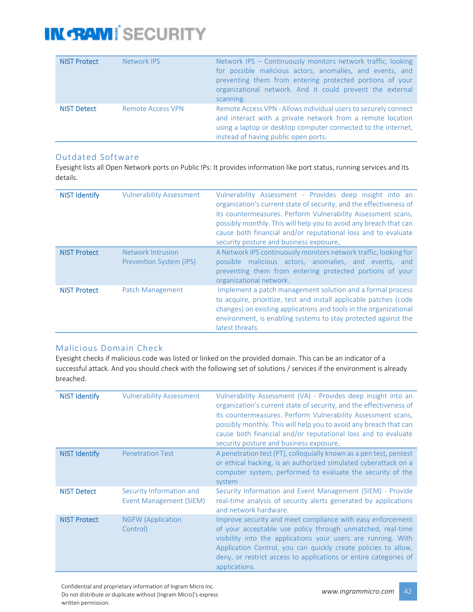| <b>NIST Protect</b> | <b>Network IPS</b>       | Network IPS - Continuously monitors network traffic, looking<br>for possible malicious actors, anomalies, and events, and<br>preventing them from entering protected portions of your<br>organizational network. And it could prevent the external<br>scanning. |
|---------------------|--------------------------|-----------------------------------------------------------------------------------------------------------------------------------------------------------------------------------------------------------------------------------------------------------------|
| <b>NIST Detect</b>  | <b>Remote Access VPN</b> | Remote Access VPN - Allows individual users to securely connect<br>and interact with a private network from a remote location<br>using a laptop or desktop computer connected to the internet,<br>instead of having public open ports.                          |

#### Outdated Software

Eyesight lists all Open Network ports on Public IPs: It provides information like port status, running services and its details.

| <b>NIST Identify</b> | <b>Vulnerability Assessment</b>                     | Vulnerability Assessment - Provides deep insight into an<br>organization's current state of security, and the effectiveness of<br>its countermeasures. Perform Vulnerability Assessment scans,<br>possibly monthly. This will help you to avoid any breach that can<br>cause both financial and/or reputational loss and to evaluate<br>security posture and business exposure. |
|----------------------|-----------------------------------------------------|---------------------------------------------------------------------------------------------------------------------------------------------------------------------------------------------------------------------------------------------------------------------------------------------------------------------------------------------------------------------------------|
| <b>NIST Protect</b>  | Network Intrusion<br><b>Prevention System (IPS)</b> | A Network IPS continuously monitors network traffic, looking for<br>possible malicious actors, anomalies, and events, and<br>preventing them from entering protected portions of your<br>organizational network.                                                                                                                                                                |
| <b>NIST Protect</b>  | Patch Management                                    | Implement a patch management solution and a formal process<br>to acquire, prioritize, test and install applicable patches (code<br>changes) on existing applications and tools in the organizational<br>environment, is enabling systems to stay protected against the<br>latest threats.                                                                                       |

#### Malicious Domain Check

Eyesight checks if malicious code was listed or linked on the provided domain. This can be an indicator of a successful attack. And you should check with the following set of solutions / services if the environment is already breached.

| <b>NIST Identify</b> | <b>Vulnerability Assessment</b>                     | Vulnerability Assessment (VA) - Provides deep insight into an<br>organization's current state of security, and the effectiveness of<br>its countermeasures. Perform Vulnerability Assessment scans,<br>possibly monthly. This will help you to avoid any breach that can<br>cause both financial and/or reputational loss and to evaluate<br>security posture and business exposure. |
|----------------------|-----------------------------------------------------|--------------------------------------------------------------------------------------------------------------------------------------------------------------------------------------------------------------------------------------------------------------------------------------------------------------------------------------------------------------------------------------|
| <b>NIST Identify</b> | <b>Penetration Test</b>                             | A penetration test (PT), colloquially known as a pen test, pentest<br>or ethical hacking, is an authorized simulated cyberattack on a<br>computer system, performed to evaluate the security of the<br>system                                                                                                                                                                        |
| <b>NIST Detect</b>   | Security Information and<br>Event Management (SIEM) | Security Information and Event Management (SIEM) - Provide<br>real-time analysis of security alerts generated by applications<br>and network hardware.                                                                                                                                                                                                                               |
| <b>NIST Protect</b>  | <b>NGFW (Application</b><br>Control)                | Improve security and meet compliance with easy enforcement<br>of your acceptable use policy through unmatched, real-time<br>visibility into the applications your users are running. With<br>Application Control, you can quickly create policies to allow,<br>deny, or restrict access to applications or entire categories of<br>applications.                                     |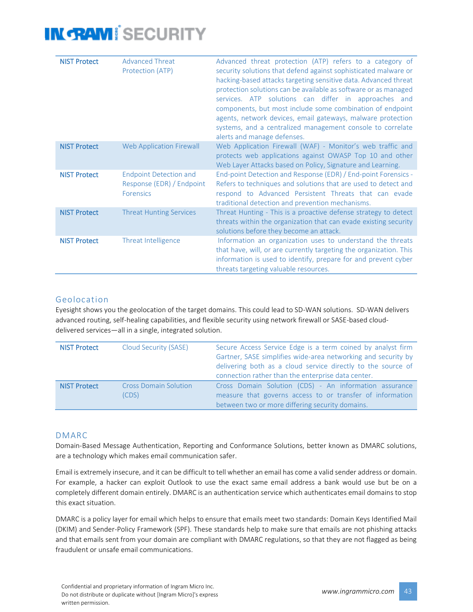| <b>NIST Protect</b> | <b>Advanced Threat</b><br>Protection (ATP)                                     | Advanced threat protection (ATP) refers to a category of<br>security solutions that defend against sophisticated malware or<br>hacking-based attacks targeting sensitive data. Advanced threat<br>protection solutions can be available as software or as managed<br>services. ATP solutions can differ in approaches and<br>components, but most include some combination of endpoint<br>agents, network devices, email gateways, malware protection<br>systems, and a centralized management console to correlate<br>alerts and manage defenses. |
|---------------------|--------------------------------------------------------------------------------|----------------------------------------------------------------------------------------------------------------------------------------------------------------------------------------------------------------------------------------------------------------------------------------------------------------------------------------------------------------------------------------------------------------------------------------------------------------------------------------------------------------------------------------------------|
| <b>NIST Protect</b> | <b>Web Application Firewall</b>                                                | Web Application Firewall (WAF) - Monitor's web traffic and<br>protects web applications against OWASP Top 10 and other<br>Web Layer Attacks based on Policy, Signature and Learning.                                                                                                                                                                                                                                                                                                                                                               |
| <b>NIST Protect</b> | <b>Endpoint Detection and</b><br>Response (EDR) / Endpoint<br><b>Forensics</b> | End-point Detection and Response (EDR) / End-point Forensics -<br>Refers to techniques and solutions that are used to detect and<br>respond to Advanced Persistent Threats that can evade<br>traditional detection and prevention mechanisms.                                                                                                                                                                                                                                                                                                      |
| <b>NIST Protect</b> | <b>Threat Hunting Services</b>                                                 | Threat Hunting - This is a proactive defense strategy to detect<br>threats within the organization that can evade existing security<br>solutions before they become an attack.                                                                                                                                                                                                                                                                                                                                                                     |
| <b>NIST Protect</b> | Threat Intelligence                                                            | Information an organization uses to understand the threats<br>that have, will, or are currently targeting the organization. This<br>information is used to identify, prepare for and prevent cyber<br>threats targeting valuable resources.                                                                                                                                                                                                                                                                                                        |

#### Geolocation

Eyesight shows you the geolocation of the target domains. This could lead to SD-WAN solutions. SD-WAN delivers advanced routing, self-healing capabilities, and flexible security using network firewall or SASE-based clouddelivered services—all in a single, integrated solution.

| <b>NIST Protect</b> | <b>Cloud Security (SASE)</b>          | Secure Access Service Edge is a term coined by analyst firm<br>Gartner, SASE simplifies wide-area networking and security by<br>delivering both as a cloud service directly to the source of<br>connection rather than the enterprise data center. |
|---------------------|---------------------------------------|----------------------------------------------------------------------------------------------------------------------------------------------------------------------------------------------------------------------------------------------------|
| <b>NIST Protect</b> | <b>Cross Domain Solution</b><br>(CDS) | Cross Domain Solution (CDS) - An information assurance<br>measure that governs access to or transfer of information<br>between two or more differing security domains.                                                                             |

#### DMARC

Domain-Based Message Authentication, Reporting and Conformance Solutions, better known as DMARC solutions, are a technology which makes email communication safer.

Email is extremely insecure, and it can be difficult to tell whether an email has come a valid sender address or domain. For example, a hacker can exploit Outlook to use the exact same email address a bank would use but be on a completely different domain entirely. DMARC is an authentication service which authenticates email domains to stop this exact situation.

DMARC is a policy layer for email which helps to ensure that emails meet two standards: Domain Keys Identified Mail (DKIM) and Sender-Policy Framework (SPF). These standards help to make sure that emails are not phishing attacks and that emails sent from your domain are compliant with DMARC regulations, so that they are not flagged as being fraudulent or unsafe email communications.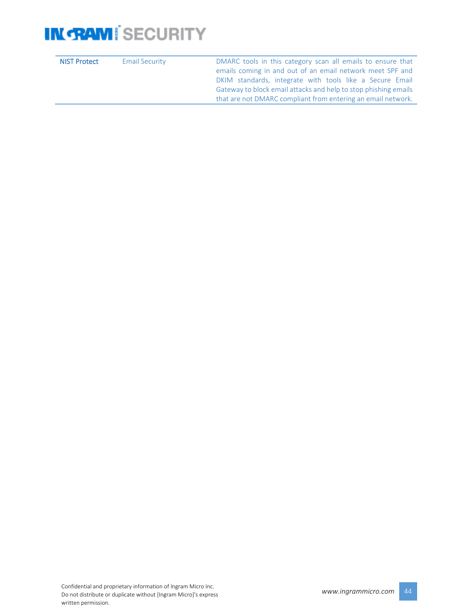| <b>NIST Protect</b> | <b>Email Security</b> | DMARC tools in this category scan all emails to ensure that                                                                                                                              |
|---------------------|-----------------------|------------------------------------------------------------------------------------------------------------------------------------------------------------------------------------------|
|                     |                       | emails coming in and out of an email network meet SPF and<br>DKIM standards, integrate with tools like a Secure Email<br>Gateway to block email attacks and help to stop phishing emails |
|                     |                       | that are not DMARC compliant from entering an email network.                                                                                                                             |